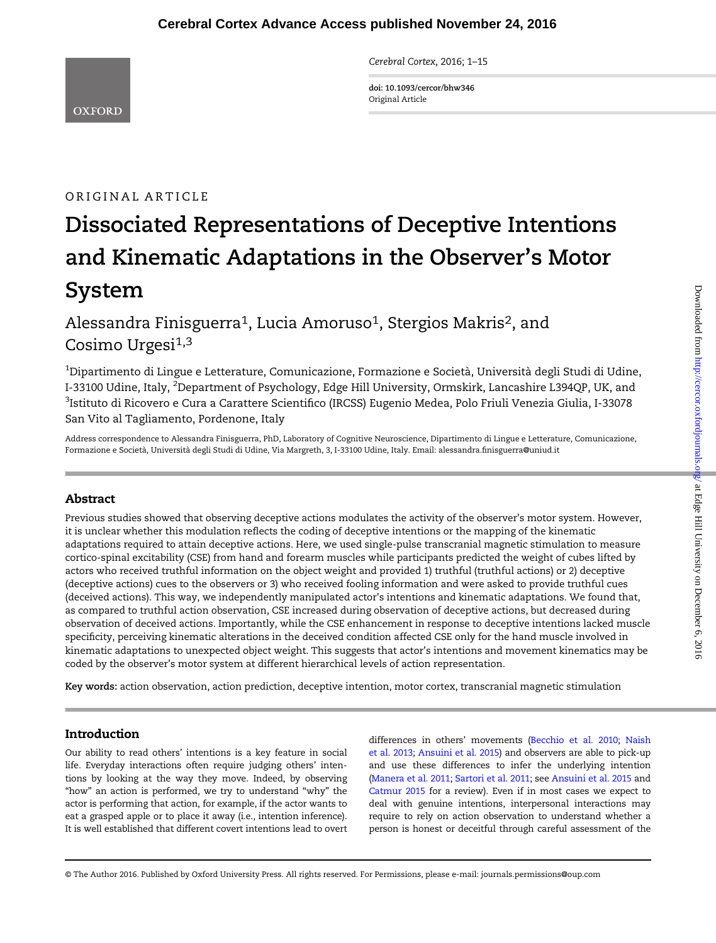Cerebral Cortex, 2016; 1–15

doi: 10.1093/cercor/bhw346 Original Article

# ORIGINAL ARTICLE

# Dissociated Representations of Deceptive Intentions and Kinematic Adaptations in the Observer's Motor System

Alessandra Finisguerra<sup>1</sup>, Lucia Amoruso<sup>1</sup>, Stergios Makris<sup>2</sup>, and Cosimo Urgesi<sup>1,3</sup>

 $^{\rm 1}$ Dipartimento di Lingue e Letterature, Comunicazione, Formazione e Società, Università degli Studi di Udine, I-33100 Udine, Italy, <sup>2</sup>Department of Psychology, Edge Hill University, Ormskirk, Lancashire L394QP, UK, and <sup>3</sup>Istituto di Ricovero e Cura a Carattere Scientifico (IRCSS) Eugenio Medea, Polo Friuli Venezia Giulia, I-33078 San Vito al Tagliamento, Pordenone, Italy

Address correspondence to Alessandra Finisguerra, PhD, Laboratory of Cognitive Neuroscience, Dipartimento di Lingue e Letterature, Comunicazione, Formazione e Società, Università degli Studi di Udine, Via Margreth, 3, I-33100 Udine, Italy. Email: alessandra.finisguerra@uniud.it

# Abstract

Previous studies showed that observing deceptive actions modulates the activity of the observer's motor system. However, it is unclear whether this modulation reflects the coding of deceptive intentions or the mapping of the kinematic adaptations required to attain deceptive actions. Here, we used single-pulse transcranial magnetic stimulation to measure cortico-spinal excitability (CSE) from hand and forearm muscles while participants predicted the weight of cubes lifted by actors who received truthful information on the object weight and provided 1) truthful (truthful actions) or 2) deceptive (deceptive actions) cues to the observers or 3) who received fooling information and were asked to provide truthful cues (deceived actions). This way, we independently manipulated actor's intentions and kinematic adaptations. We found that, as compared to truthful action observation, CSE increased during observation of deceptive actions, but decreased during observation of deceived actions. Importantly, while the CSE enhancement in response to deceptive intentions lacked muscle specificity, perceiving kinematic alterations in the deceived condition affected CSE only for the hand muscle involved in kinematic adaptations to unexpected object weight. This suggests that actor's intentions and movement kinematics may be coded by the observer's motor system at different hierarchical levels of action representation.

Key words: action observation, action prediction, deceptive intention, motor cortex, transcranial magnetic stimulation

# Introduction

Our ability to read others' intentions is a key feature in social life. Everyday interactions often require judging others' intentions by looking at the way they move. Indeed, by observing "how" an action is performed, we try to understand "why" the actor is performing that action, for example, if the actor wants to eat a grasped apple or to place it away (i.e., intention inference). It is well established that different covert intentions lead to overt

differences in others' movements [\(Becchio et al. 2010;](#page-12-0) [Naish](#page-13-0) et [al. 2013](#page-13-0); [Ansuini et al. 2015](#page-12-0)) and observers are able to pick-up and use these differences to infer the underlying intention [\(Manera et al. 2011](#page-13-0); [Sartori et al. 2011;](#page-14-0) see [Ansuini et al. 2015](#page-12-0) and [Catmur 2015](#page-13-0) for a review). Even if in most cases we expect to deal with genuine intentions, interpersonal interactions may require to rely on action observation to understand whether a person is honest or deceitful through careful assessment of the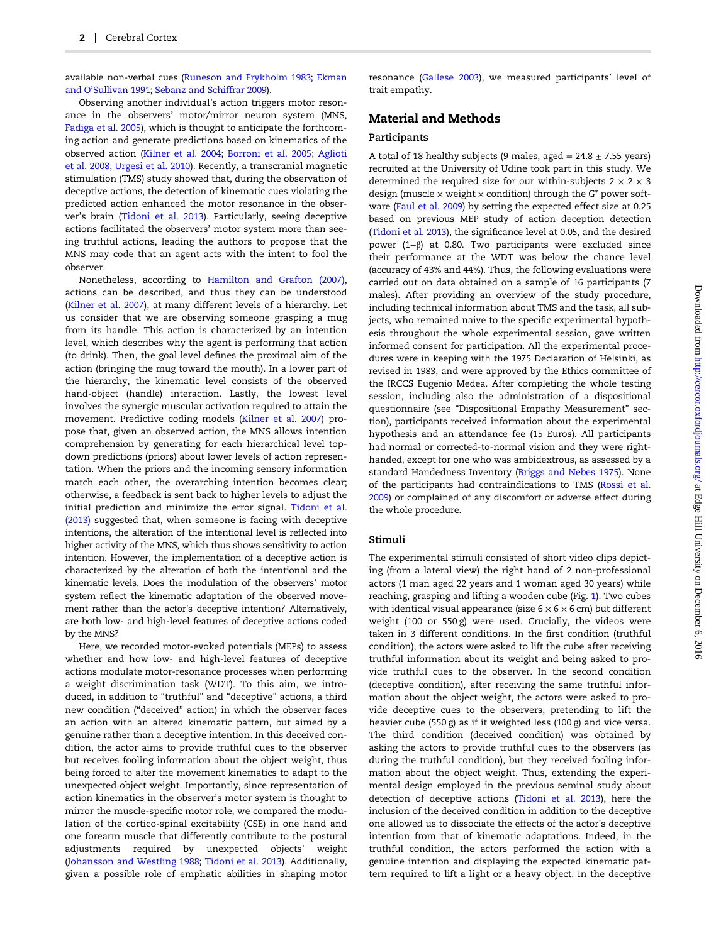available non-verbal cues ([Runeson and Frykholm 1983;](#page-14-0) [Ekman](#page-13-0) and O'[Sullivan 1991;](#page-13-0) [Sebanz and Schiffrar 2009](#page-14-0)).

Observing another individual's action triggers motor resonance in the observers' motor/mirror neuron system (MNS, [Fadiga et al. 2005\)](#page-13-0), which is thought to anticipate the forthcoming action and generate predictions based on kinematics of the observed action ([Kilner et al. 2004;](#page-13-0) [Borroni et al. 2005;](#page-12-0) [Aglioti](#page-12-0) [et al.](#page-12-0) 2008; [Urgesi et al. 2010\)](#page-14-0). Recently, a transcranial magnetic stimulation (TMS) study showed that, during the observation of deceptive actions, the detection of kinematic cues violating the predicted action enhanced the motor resonance in the observer's brain ([Tidoni et al. 2013\)](#page-14-0). Particularly, seeing deceptive actions facilitated the observers' motor system more than seeing truthful actions, leading the authors to propose that the MNS may code that an agent acts with the intent to fool the observer.

Nonetheless, according to [Hamilton and Grafton \(2007\),](#page-13-0) actions can be described, and thus they can be understood [\(Kilner et al. 2007\)](#page-13-0), at many different levels of a hierarchy. Let us consider that we are observing someone grasping a mug from its handle. This action is characterized by an intention level, which describes why the agent is performing that action (to drink). Then, the goal level defines the proximal aim of the action (bringing the mug toward the mouth). In a lower part of the hierarchy, the kinematic level consists of the observed hand-object (handle) interaction. Lastly, the lowest level involves the synergic muscular activation required to attain the movement. Predictive coding models ([Kilner et al. 2007\)](#page-13-0) propose that, given an observed action, the MNS allows intention comprehension by generating for each hierarchical level topdown predictions (priors) about lower levels of action representation. When the priors and the incoming sensory information match each other, the overarching intention becomes clear; otherwise, a feedback is sent back to higher levels to adjust the initial prediction and minimize the error signal. [Tidoni et al.](#page-14-0) [\(2013\)](#page-14-0) suggested that, when someone is facing with deceptive intentions, the alteration of the intentional level is reflected into higher activity of the MNS, which thus shows sensitivity to action intention. However, the implementation of a deceptive action is characterized by the alteration of both the intentional and the kinematic levels. Does the modulation of the observers' motor system reflect the kinematic adaptation of the observed movement rather than the actor's deceptive intention? Alternatively, are both low- and high-level features of deceptive actions coded by the MNS?

Here, we recorded motor-evoked potentials (MEPs) to assess whether and how low- and high-level features of deceptive actions modulate motor-resonance processes when performing a weight discrimination task (WDT). To this aim, we introduced, in addition to "truthful" and "deceptive" actions, a third new condition ("deceived" action) in which the observer faces an action with an altered kinematic pattern, but aimed by a genuine rather than a deceptive intention. In this deceived condition, the actor aims to provide truthful cues to the observer but receives fooling information about the object weight, thus being forced to alter the movement kinematics to adapt to the unexpected object weight. Importantly, since representation of action kinematics in the observer's motor system is thought to mirror the muscle-specific motor role, we compared the modulation of the cortico-spinal excitability (CSE) in one hand and one forearm muscle that differently contribute to the postural adjustments required by unexpected objects' weight [\(Johansson and Westling 1988](#page-13-0); [Tidoni et al. 2013\)](#page-14-0). Additionally, given a possible role of emphatic abilities in shaping motor

resonance [\(Gallese 2003](#page-13-0)), we measured participants' level of trait empathy.

# Material and Methods

# Participants

A total of 18 healthy subjects (9 males, aged =  $24.8 \pm 7.55$  years) recruited at the University of Udine took part in this study. We determined the required size for our within-subjects  $2 \times 2 \times 3$ design (muscle  $\times$  weight  $\times$  condition) through the G\* power software ([Faul et al. 2009\)](#page-13-0) by setting the expected effect size at 0.25 based on previous MEP study of action deception detection [\(Tidoni et al. 2013](#page-14-0)), the significance level at 0.05, and the desired power (1−β) at 0.80. Two participants were excluded since their performance at the WDT was below the chance level (accuracy of 43% and 44%). Thus, the following evaluations were carried out on data obtained on a sample of 16 participants (7 males). After providing an overview of the study procedure, including technical information about TMS and the task, all subjects, who remained naive to the specific experimental hypothesis throughout the whole experimental session, gave written informed consent for participation. All the experimental procedures were in keeping with the 1975 Declaration of Helsinki, as revised in 1983, and were approved by the Ethics committee of the IRCCS Eugenio Medea. After completing the whole testing session, including also the administration of a dispositional questionnaire (see "Dispositional Empathy Measurement" section), participants received information about the experimental hypothesis and an attendance fee (15 Euros). All participants had normal or corrected-to-normal vision and they were righthanded, except for one who was ambidextrous, as assessed by a standard Handedness Inventory ([Briggs and Nebes 1975](#page-13-0)). None of the participants had contraindications to TMS [\(Rossi et al.](#page-14-0) [2009](#page-14-0)) or complained of any discomfort or adverse effect during the whole procedure.

# Stimuli

The experimental stimuli consisted of short video clips depicting (from a lateral view) the right hand of 2 non-professional actors (1 man aged 22 years and 1 woman aged 30 years) while reaching, grasping and lifting a wooden cube (Fig. [1](#page-2-0)). Two cubes with identical visual appearance (size  $6 \times 6 \times 6$  cm) but different weight (100 or 550 g) were used. Crucially, the videos were taken in 3 different conditions. In the first condition (truthful condition), the actors were asked to lift the cube after receiving truthful information about its weight and being asked to provide truthful cues to the observer. In the second condition (deceptive condition), after receiving the same truthful information about the object weight, the actors were asked to provide deceptive cues to the observers, pretending to lift the heavier cube (550 g) as if it weighted less (100 g) and vice versa. The third condition (deceived condition) was obtained by asking the actors to provide truthful cues to the observers (as during the truthful condition), but they received fooling information about the object weight. Thus, extending the experimental design employed in the previous seminal study about detection of deceptive actions [\(Tidoni et al. 2013](#page-14-0)), here the inclusion of the deceived condition in addition to the deceptive one allowed us to dissociate the effects of the actor's deceptive intention from that of kinematic adaptations. Indeed, in the truthful condition, the actors performed the action with a genuine intention and displaying the expected kinematic pattern required to lift a light or a heavy object. In the deceptive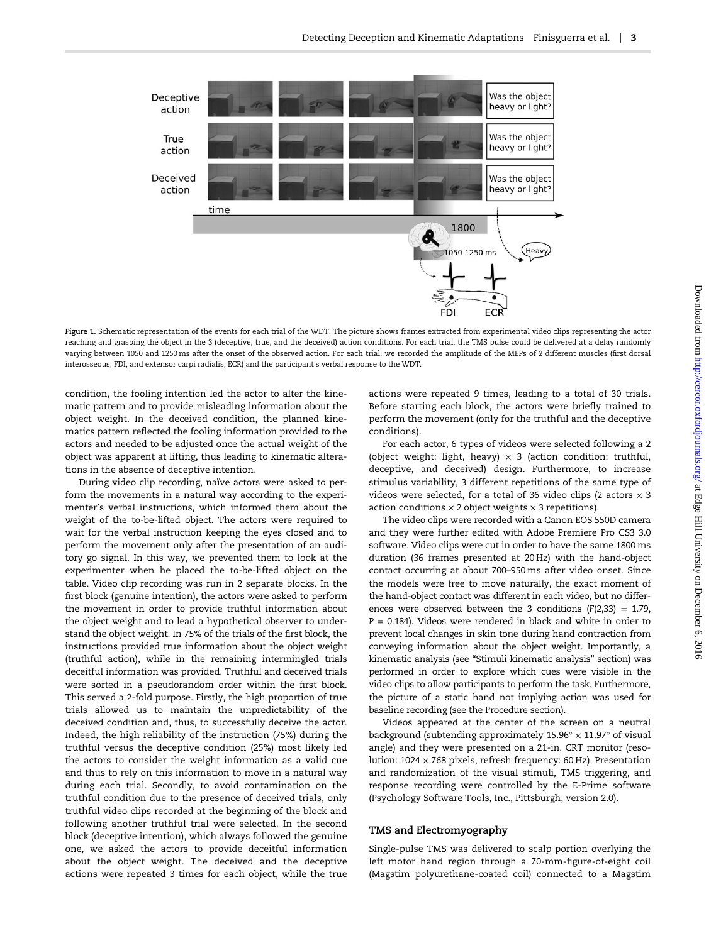<span id="page-2-0"></span>

Figure 1. Schematic representation of the events for each trial of the WDT. The picture shows frames extracted from experimental video clips representing the actor reaching and grasping the object in the 3 (deceptive, true, and the deceived) action conditions. For each trial, the TMS pulse could be delivered at a delay randomly varying between 1050 and 1250 ms after the onset of the observed action. For each trial, we recorded the amplitude of the MEPs of 2 different muscles (first dorsal interosseous, FDI, and extensor carpi radialis, ECR) and the participant's verbal response to the WDT.

condition, the fooling intention led the actor to alter the kinematic pattern and to provide misleading information about the object weight. In the deceived condition, the planned kinematics pattern reflected the fooling information provided to the actors and needed to be adjusted once the actual weight of the object was apparent at lifting, thus leading to kinematic alterations in the absence of deceptive intention.

During video clip recording, naïve actors were asked to perform the movements in a natural way according to the experimenter's verbal instructions, which informed them about the weight of the to-be-lifted object. The actors were required to wait for the verbal instruction keeping the eyes closed and to perform the movement only after the presentation of an auditory go signal. In this way, we prevented them to look at the experimenter when he placed the to-be-lifted object on the table. Video clip recording was run in 2 separate blocks. In the first block (genuine intention), the actors were asked to perform the movement in order to provide truthful information about the object weight and to lead a hypothetical observer to understand the object weight. In 75% of the trials of the first block, the instructions provided true information about the object weight (truthful action), while in the remaining intermingled trials deceitful information was provided. Truthful and deceived trials were sorted in a pseudorandom order within the first block. This served a 2-fold purpose. Firstly, the high proportion of true trials allowed us to maintain the unpredictability of the deceived condition and, thus, to successfully deceive the actor. Indeed, the high reliability of the instruction (75%) during the truthful versus the deceptive condition (25%) most likely led the actors to consider the weight information as a valid cue and thus to rely on this information to move in a natural way during each trial. Secondly, to avoid contamination on the truthful condition due to the presence of deceived trials, only truthful video clips recorded at the beginning of the block and following another truthful trial were selected. In the second block (deceptive intention), which always followed the genuine one, we asked the actors to provide deceitful information about the object weight. The deceived and the deceptive actions were repeated 3 times for each object, while the true

actions were repeated 9 times, leading to a total of 30 trials. Before starting each block, the actors were briefly trained to perform the movement (only for the truthful and the deceptive conditions).

For each actor, 6 types of videos were selected following a 2 (object weight: light, heavy)  $\times$  3 (action condition: truthful, deceptive, and deceived) design. Furthermore, to increase stimulus variability, 3 different repetitions of the same type of videos were selected, for a total of 36 video clips (2 actors  $\times$  3 action conditions  $\times$  2 object weights  $\times$  3 repetitions).

The video clips were recorded with a Canon EOS 550D camera and they were further edited with Adobe Premiere Pro CS3 3.0 software. Video clips were cut in order to have the same 1800 ms duration (36 frames presented at 20 Hz) with the hand-object contact occurring at about 700–950 ms after video onset. Since the models were free to move naturally, the exact moment of the hand-object contact was different in each video, but no differences were observed between the 3 conditions  $(F(2,33) = 1.79)$ ,  $P = 0.184$ ). Videos were rendered in black and white in order to prevent local changes in skin tone during hand contraction from conveying information about the object weight. Importantly, a kinematic analysis (see "Stimuli kinematic analysis" section) was performed in order to explore which cues were visible in the video clips to allow participants to perform the task. Furthermore, the picture of a static hand not implying action was used for baseline recording (see the Procedure section).

Videos appeared at the center of the screen on a neutral background (subtending approximately  $15.96^\circ \times 11.97^\circ$  of visual angle) and they were presented on a 21-in. CRT monitor (resolution: 1024 × 768 pixels, refresh frequency: 60 Hz). Presentation and randomization of the visual stimuli, TMS triggering, and response recording were controlled by the E-Prime software (Psychology Software Tools, Inc., Pittsburgh, version 2.0).

# TMS and Electromyography

Single-pulse TMS was delivered to scalp portion overlying the left motor hand region through a 70-mm-figure-of-eight coil (Magstim polyurethane-coated coil) connected to a Magstim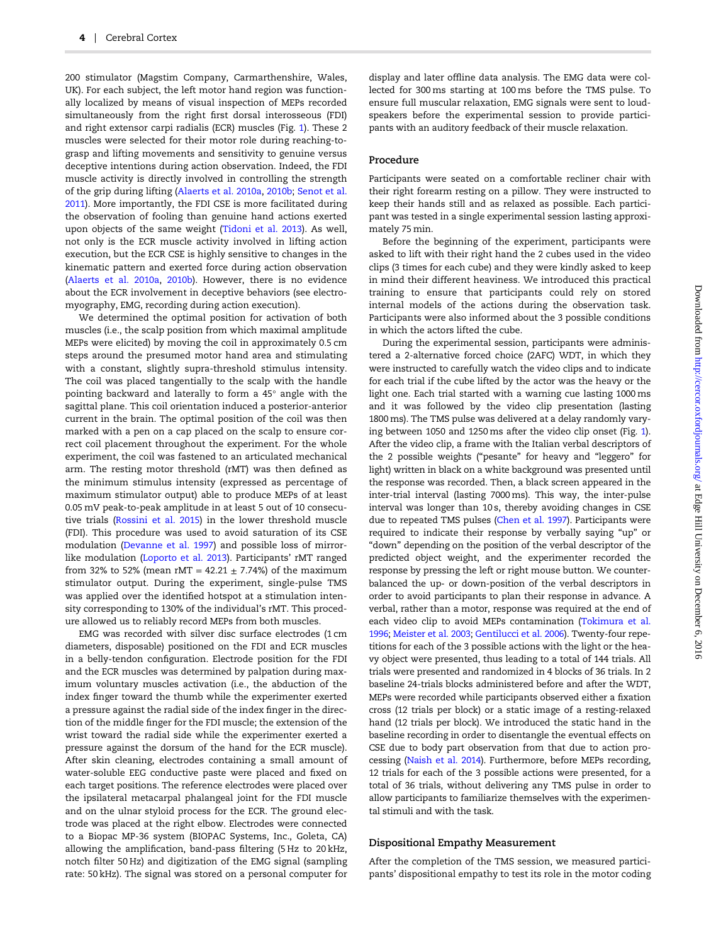200 stimulator (Magstim Company, Carmarthenshire, Wales, UK). For each subject, the left motor hand region was functionally localized by means of visual inspection of MEPs recorded simultaneously from the right first dorsal interosseous (FDI) and right extensor carpi radialis (ECR) muscles (Fig. [1](#page-2-0)). These 2 muscles were selected for their motor role during reaching-tograsp and lifting movements and sensitivity to genuine versus deceptive intentions during action observation. Indeed, the FDI muscle activity is directly involved in controlling the strength of the grip during lifting [\(Alaerts et al. 2010a](#page-12-0), [2010b](#page-12-0); [Senot et al.](#page-14-0) [2011\)](#page-14-0). More importantly, the FDI CSE is more facilitated during the observation of fooling than genuine hand actions exerted upon objects of the same weight ([Tidoni et al. 2013](#page-14-0)). As well, not only is the ECR muscle activity involved in lifting action execution, but the ECR CSE is highly sensitive to changes in the kinematic pattern and exerted force during action observation [\(Alaerts et al. 2010a](#page-12-0), [2010b\)](#page-12-0). However, there is no evidence about the ECR involvement in deceptive behaviors (see electromyography, EMG, recording during action execution).

We determined the optimal position for activation of both muscles (i.e., the scalp position from which maximal amplitude MEPs were elicited) by moving the coil in approximately 0.5 cm steps around the presumed motor hand area and stimulating with a constant, slightly supra-threshold stimulus intensity. The coil was placed tangentially to the scalp with the handle pointing backward and laterally to form a 45° angle with the sagittal plane. This coil orientation induced a posterior-anterior current in the brain. The optimal position of the coil was then marked with a pen on a cap placed on the scalp to ensure correct coil placement throughout the experiment. For the whole experiment, the coil was fastened to an articulated mechanical arm. The resting motor threshold (rMT) was then defined as the minimum stimulus intensity (expressed as percentage of maximum stimulator output) able to produce MEPs of at least 0.05 mV peak-to-peak amplitude in at least 5 out of 10 consecutive trials [\(Rossini et al. 2015\)](#page-14-0) in the lower threshold muscle (FDI). This procedure was used to avoid saturation of its CSE modulation ([Devanne et al. 1997](#page-13-0)) and possible loss of mirrorlike modulation ([Loporto et al. 2013](#page-13-0)). Participants' rMT ranged from 32% to 52% (mean rMT =  $42.21 \pm 7.74$ %) of the maximum stimulator output. During the experiment, single-pulse TMS was applied over the identified hotspot at a stimulation intensity corresponding to 130% of the individual's rMT. This procedure allowed us to reliably record MEPs from both muscles.

EMG was recorded with silver disc surface electrodes (1 cm diameters, disposable) positioned on the FDI and ECR muscles in a belly-tendon configuration. Electrode position for the FDI and the ECR muscles was determined by palpation during maximum voluntary muscles activation (i.e., the abduction of the index finger toward the thumb while the experimenter exerted a pressure against the radial side of the index finger in the direction of the middle finger for the FDI muscle; the extension of the wrist toward the radial side while the experimenter exerted a pressure against the dorsum of the hand for the ECR muscle). After skin cleaning, electrodes containing a small amount of water-soluble EEG conductive paste were placed and fixed on each target positions. The reference electrodes were placed over the ipsilateral metacarpal phalangeal joint for the FDI muscle and on the ulnar styloid process for the ECR. The ground electrode was placed at the right elbow. Electrodes were connected to a Biopac MP-36 system (BIOPAC Systems, Inc., Goleta, CA) allowing the amplification, band-pass filtering (5 Hz to 20 kHz, notch filter 50 Hz) and digitization of the EMG signal (sampling rate: 50 kHz). The signal was stored on a personal computer for

display and later offline data analysis. The EMG data were collected for 300 ms starting at 100 ms before the TMS pulse. To ensure full muscular relaxation, EMG signals were sent to loudspeakers before the experimental session to provide participants with an auditory feedback of their muscle relaxation.

#### Procedure

Participants were seated on a comfortable recliner chair with their right forearm resting on a pillow. They were instructed to keep their hands still and as relaxed as possible. Each participant was tested in a single experimental session lasting approximately 75 min.

Before the beginning of the experiment, participants were asked to lift with their right hand the 2 cubes used in the video clips (3 times for each cube) and they were kindly asked to keep in mind their different heaviness. We introduced this practical training to ensure that participants could rely on stored internal models of the actions during the observation task. Participants were also informed about the 3 possible conditions in which the actors lifted the cube.

During the experimental session, participants were administered a 2-alternative forced choice (2AFC) WDT, in which they were instructed to carefully watch the video clips and to indicate for each trial if the cube lifted by the actor was the heavy or the light one. Each trial started with a warning cue lasting 1000 ms and it was followed by the video clip presentation (lasting 1800 ms). The TMS pulse was delivered at a delay randomly varying between 1050 and 1250 ms after the video clip onset (Fig. [1\)](#page-2-0). After the video clip, a frame with the Italian verbal descriptors of the 2 possible weights ("pesante" for heavy and "leggero" for light) written in black on a white background was presented until the response was recorded. Then, a black screen appeared in the inter-trial interval (lasting 7000 ms). This way, the inter-pulse interval was longer than 10 s, thereby avoiding changes in CSE due to repeated TMS pulses [\(Chen et al. 1997](#page-13-0)). Participants were required to indicate their response by verbally saying "up" or "down" depending on the position of the verbal descriptor of the predicted object weight, and the experimenter recorded the response by pressing the left or right mouse button. We counterbalanced the up- or down-position of the verbal descriptors in order to avoid participants to plan their response in advance. A verbal, rather than a motor, response was required at the end of each video clip to avoid MEPs contamination [\(Tokimura et al.](#page-14-0) [1996](#page-14-0); [Meister et al. 2003](#page-13-0); [Gentilucci et al. 2006\)](#page-13-0). Twenty-four repetitions for each of the 3 possible actions with the light or the heavy object were presented, thus leading to a total of 144 trials. All trials were presented and randomized in 4 blocks of 36 trials. In 2 baseline 24-trials blocks administered before and after the WDT, MEPs were recorded while participants observed either a fixation cross (12 trials per block) or a static image of a resting-relaxed hand (12 trials per block). We introduced the static hand in the baseline recording in order to disentangle the eventual effects on CSE due to body part observation from that due to action processing ([Naish et al. 2014](#page-13-0)). Furthermore, before MEPs recording, 12 trials for each of the 3 possible actions were presented, for a total of 36 trials, without delivering any TMS pulse in order to allow participants to familiarize themselves with the experimental stimuli and with the task.

# Dispositional Empathy Measurement

After the completion of the TMS session, we measured participants' dispositional empathy to test its role in the motor coding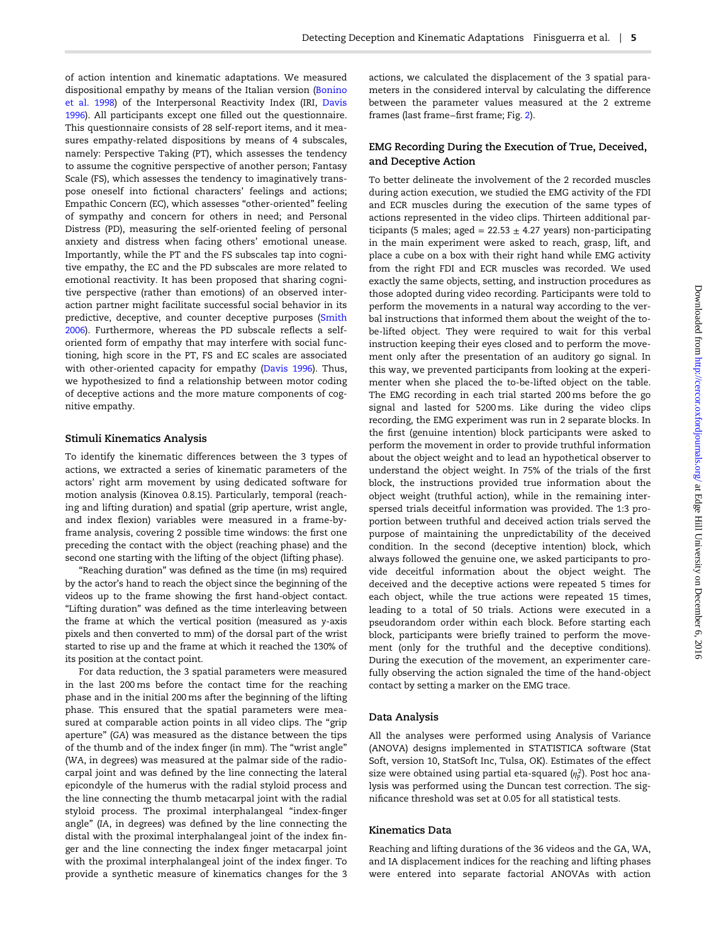of action intention and kinematic adaptations. We measured dispositional empathy by means of the Italian version [\(Bonino](#page-12-0) [et al.](#page-12-0) 1998) of the Interpersonal Reactivity Index (IRI, [Davis](#page-13-0) [1996\)](#page-13-0). All participants except one filled out the questionnaire. This questionnaire consists of 28 self-report items, and it measures empathy-related dispositions by means of 4 subscales, namely: Perspective Taking (PT), which assesses the tendency to assume the cognitive perspective of another person; Fantasy Scale (FS), which assesses the tendency to imaginatively transpose oneself into fictional characters' feelings and actions; Empathic Concern (EC), which assesses "other-oriented" feeling of sympathy and concern for others in need; and Personal Distress (PD), measuring the self-oriented feeling of personal anxiety and distress when facing others' emotional unease. Importantly, while the PT and the FS subscales tap into cognitive empathy, the EC and the PD subscales are more related to emotional reactivity. It has been proposed that sharing cognitive perspective (rather than emotions) of an observed interaction partner might facilitate successful social behavior in its predictive, deceptive, and counter deceptive purposes ([Smith](#page-14-0) [2006\)](#page-14-0). Furthermore, whereas the PD subscale reflects a selforiented form of empathy that may interfere with social functioning, high score in the PT, FS and EC scales are associated with other-oriented capacity for empathy ([Davis 1996](#page-13-0)). Thus, we hypothesized to find a relationship between motor coding of deceptive actions and the more mature components of cognitive empathy.

#### Stimuli Kinematics Analysis

To identify the kinematic differences between the 3 types of actions, we extracted a series of kinematic parameters of the actors' right arm movement by using dedicated software for motion analysis (Kinovea 0.8.15). Particularly, temporal (reaching and lifting duration) and spatial (grip aperture, wrist angle, and index flexion) variables were measured in a frame-byframe analysis, covering 2 possible time windows: the first one preceding the contact with the object (reaching phase) and the second one starting with the lifting of the object (lifting phase).

"Reaching duration" was defined as the time (in ms) required by the actor's hand to reach the object since the beginning of the videos up to the frame showing the first hand-object contact. "Lifting duration" was defined as the time interleaving between the frame at which the vertical position (measured as y-axis pixels and then converted to mm) of the dorsal part of the wrist started to rise up and the frame at which it reached the 130% of its position at the contact point.

For data reduction, the 3 spatial parameters were measured in the last 200 ms before the contact time for the reaching phase and in the initial 200 ms after the beginning of the lifting phase. This ensured that the spatial parameters were measured at comparable action points in all video clips. The "grip aperture" (GA) was measured as the distance between the tips of the thumb and of the index finger (in mm). The "wrist angle" (WA, in degrees) was measured at the palmar side of the radiocarpal joint and was defined by the line connecting the lateral epicondyle of the humerus with the radial styloid process and the line connecting the thumb metacarpal joint with the radial styloid process. The proximal interphalangeal "index-finger angle" (IA, in degrees) was defined by the line connecting the distal with the proximal interphalangeal joint of the index finger and the line connecting the index finger metacarpal joint with the proximal interphalangeal joint of the index finger. To provide a synthetic measure of kinematics changes for the 3

actions, we calculated the displacement of the 3 spatial parameters in the considered interval by calculating the difference between the parameter values measured at the 2 extreme frames (last frame−first frame; Fig. [2\)](#page-5-0).

# EMG Recording During the Execution of True, Deceived, and Deceptive Action

To better delineate the involvement of the 2 recorded muscles during action execution, we studied the EMG activity of the FDI and ECR muscles during the execution of the same types of actions represented in the video clips. Thirteen additional participants (5 males; aged =  $22.53 \pm 4.27$  years) non-participating in the main experiment were asked to reach, grasp, lift, and place a cube on a box with their right hand while EMG activity from the right FDI and ECR muscles was recorded. We used exactly the same objects, setting, and instruction procedures as those adopted during video recording. Participants were told to perform the movements in a natural way according to the verbal instructions that informed them about the weight of the tobe-lifted object. They were required to wait for this verbal instruction keeping their eyes closed and to perform the movement only after the presentation of an auditory go signal. In this way, we prevented participants from looking at the experimenter when she placed the to-be-lifted object on the table. The EMG recording in each trial started 200 ms before the go signal and lasted for 5200 ms. Like during the video clips recording, the EMG experiment was run in 2 separate blocks. In the first (genuine intention) block participants were asked to perform the movement in order to provide truthful information about the object weight and to lead an hypothetical observer to understand the object weight. In 75% of the trials of the first block, the instructions provided true information about the object weight (truthful action), while in the remaining interspersed trials deceitful information was provided. The 1:3 proportion between truthful and deceived action trials served the purpose of maintaining the unpredictability of the deceived condition. In the second (deceptive intention) block, which always followed the genuine one, we asked participants to provide deceitful information about the object weight. The deceived and the deceptive actions were repeated 5 times for each object, while the true actions were repeated 15 times, leading to a total of 50 trials. Actions were executed in a pseudorandom order within each block. Before starting each block, participants were briefly trained to perform the movement (only for the truthful and the deceptive conditions). During the execution of the movement, an experimenter carefully observing the action signaled the time of the hand-object contact by setting a marker on the EMG trace.

#### Data Analysis

All the analyses were performed using Analysis of Variance (ANOVA) designs implemented in STATISTICA software (Stat Soft, version 10, StatSoft Inc, Tulsa, OK). Estimates of the effect size were obtained using partial eta-squared ( $η<sub>P</sub><sup>2</sup>$ ). Post hoc analysis was performed using the Duncan test correction. The significance threshold was set at 0.05 for all statistical tests.

# Kinematics Data

Reaching and lifting durations of the 36 videos and the GA, WA, and IA displacement indices for the reaching and lifting phases were entered into separate factorial ANOVAs with action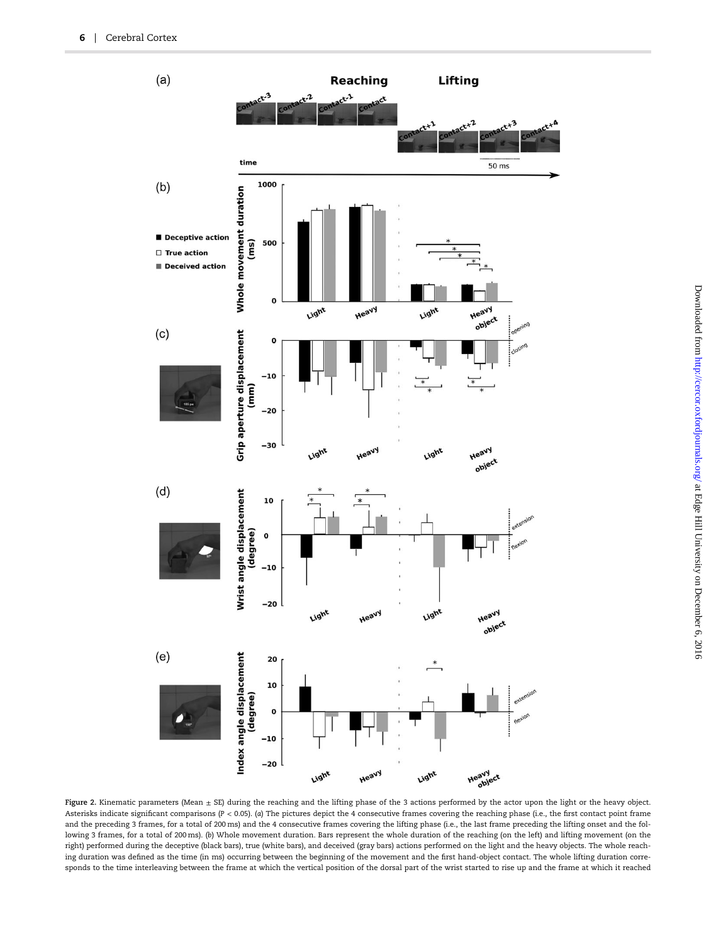<span id="page-5-0"></span>

Figure 2. Kinematic parameters (Mean  $\pm$  SE) during the reaching and the lifting phase of the 3 actions performed by the actor upon the light or the heavy object. Asterisks indicate significant comparisons (P < 0.05). (a) The pictures depict the 4 consecutive frames covering the reaching phase (i.e., the first contact point frame and the preceding 3 frames, for a total of 200 ms) and the 4 consecutive frames covering the lifting phase (i.e., the last frame preceding the lifting onset and the following 3 frames, for a total of 200 ms). (b) Whole movement duration. Bars represent the whole duration of the reaching (on the left) and lifting movement (on the right) performed during the deceptive (black bars), true (white bars), and deceived (gray bars) actions performed on the light and the heavy objects. The whole reaching duration was defined as the time (in ms) occurring between the beginning of the movement and the first hand-object contact. The whole lifting duration corresponds to the time interleaving between the frame at which the vertical position of the dorsal part of the wrist started to rise up and the frame at which it reached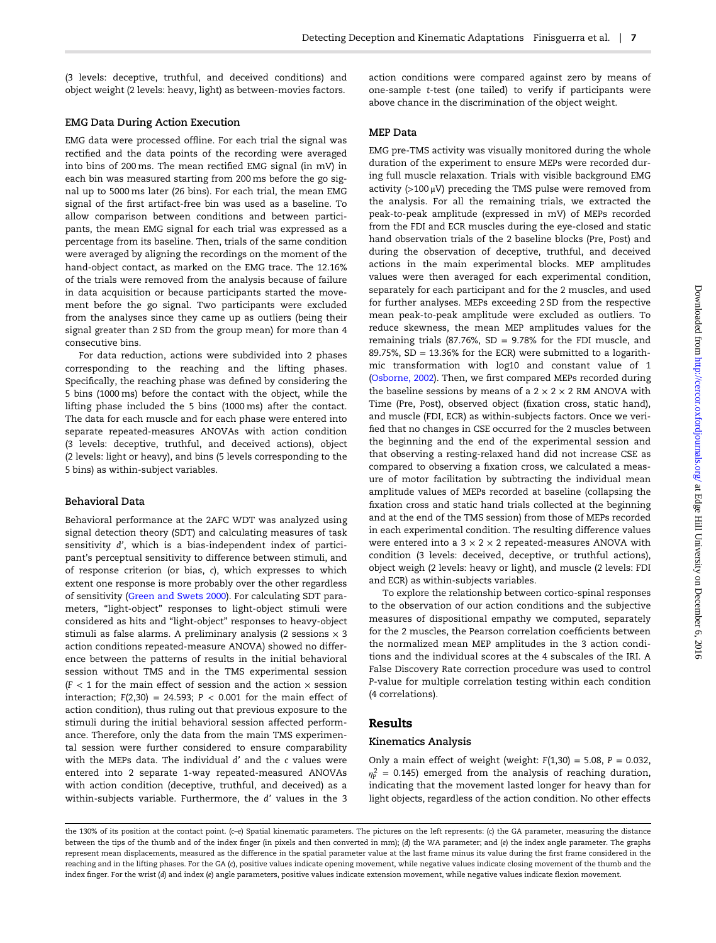(3 levels: deceptive, truthful, and deceived conditions) and object weight (2 levels: heavy, light) as between-movies factors.

#### EMG Data During Action Execution

EMG data were processed offline. For each trial the signal was rectified and the data points of the recording were averaged into bins of 200 ms. The mean rectified EMG signal (in mV) in each bin was measured starting from 200 ms before the go signal up to 5000 ms later (26 bins). For each trial, the mean EMG signal of the first artifact-free bin was used as a baseline. To allow comparison between conditions and between participants, the mean EMG signal for each trial was expressed as a percentage from its baseline. Then, trials of the same condition were averaged by aligning the recordings on the moment of the hand-object contact, as marked on the EMG trace. The 12.16% of the trials were removed from the analysis because of failure in data acquisition or because participants started the movement before the go signal. Two participants were excluded from the analyses since they came up as outliers (being their signal greater than 2 SD from the group mean) for more than 4 consecutive bins.

For data reduction, actions were subdivided into 2 phases corresponding to the reaching and the lifting phases. Specifically, the reaching phase was defined by considering the 5 bins (1000 ms) before the contact with the object, while the lifting phase included the 5 bins (1000 ms) after the contact. The data for each muscle and for each phase were entered into separate repeated-measures ANOVAs with action condition (3 levels: deceptive, truthful, and deceived actions), object (2 levels: light or heavy), and bins (5 levels corresponding to the 5 bins) as within-subject variables.

### Behavioral Data

Behavioral performance at the 2AFC WDT was analyzed using signal detection theory (SDT) and calculating measures of task sensitivity d', which is a bias-independent index of participant's perceptual sensitivity to difference between stimuli, and of response criterion (or bias, c), which expresses to which extent one response is more probably over the other regardless of sensitivity [\(Green and Swets 2000\)](#page-13-0). For calculating SDT parameters, "light-object" responses to light-object stimuli were considered as hits and "light-object" responses to heavy-object stimuli as false alarms. A preliminary analysis (2 sessions  $\times$  3 action conditions repeated-measure ANOVA) showed no difference between the patterns of results in the initial behavioral session without TMS and in the TMS experimental session  $(F < 1$  for the main effect of session and the action  $\times$  session interaction;  $F(2,30) = 24.593$ ;  $P < 0.001$  for the main effect of action condition), thus ruling out that previous exposure to the stimuli during the initial behavioral session affected performance. Therefore, only the data from the main TMS experimental session were further considered to ensure comparability with the MEPs data. The individual d' and the c values were entered into 2 separate 1-way repeated-measured ANOVAs with action condition (deceptive, truthful, and deceived) as a within-subjects variable. Furthermore, the d' values in the 3

action conditions were compared against zero by means of one-sample t-test (one tailed) to verify if participants were above chance in the discrimination of the object weight.

#### MEP Data

EMG pre-TMS activity was visually monitored during the whole duration of the experiment to ensure MEPs were recorded during full muscle relaxation. Trials with visible background EMG activity ( $>100 \mu V$ ) preceding the TMS pulse were removed from the analysis. For all the remaining trials, we extracted the peak-to-peak amplitude (expressed in mV) of MEPs recorded from the FDI and ECR muscles during the eye-closed and static hand observation trials of the 2 baseline blocks (Pre, Post) and during the observation of deceptive, truthful, and deceived actions in the main experimental blocks. MEP amplitudes values were then averaged for each experimental condition, separately for each participant and for the 2 muscles, and used for further analyses. MEPs exceeding 2 SD from the respective mean peak-to-peak amplitude were excluded as outliers. To reduce skewness, the mean MEP amplitudes values for the remaining trials (87.76%, SD = 9.78% for the FDI muscle, and 89.75%,  $SD = 13.36%$  for the ECR) were submitted to a logarithmic transformation with log10 and constant value of 1 [\(Osborne, 2002\)](#page-13-0). Then, we first compared MEPs recorded during the baseline sessions by means of a  $2 \times 2 \times 2$  RM ANOVA with Time (Pre, Post), observed object (fixation cross, static hand), and muscle (FDI, ECR) as within-subjects factors. Once we verified that no changes in CSE occurred for the 2 muscles between the beginning and the end of the experimental session and that observing a resting-relaxed hand did not increase CSE as compared to observing a fixation cross, we calculated a measure of motor facilitation by subtracting the individual mean amplitude values of MEPs recorded at baseline (collapsing the fixation cross and static hand trials collected at the beginning and at the end of the TMS session) from those of MEPs recorded in each experimental condition. The resulting difference values were entered into a  $3 \times 2 \times 2$  repeated-measures ANOVA with condition (3 levels: deceived, deceptive, or truthful actions), object weigh (2 levels: heavy or light), and muscle (2 levels: FDI and ECR) as within-subjects variables.

To explore the relationship between cortico-spinal responses to the observation of our action conditions and the subjective measures of dispositional empathy we computed, separately for the 2 muscles, the Pearson correlation coefficients between the normalized mean MEP amplitudes in the 3 action conditions and the individual scores at the 4 subscales of the IRI. A False Discovery Rate correction procedure was used to control P-value for multiple correlation testing within each condition (4 correlations).

# Results

#### Kinematics Analysis

Only a main effect of weight (weight:  $F(1,30) = 5.08$ ,  $P = 0.032$ ,  $\eta_{\rm P}^2$  = 0.145) emerged from the analysis of reaching duration, indicating that the movement lasted longer for heavy than for light objects, regardless of the action condition. No other effects

the 130% of its position at the contact point. (c-e) Spatial kinematic parameters. The pictures on the left represents: (c) the GA parameter, measuring the distance between the tips of the thumb and of the index finger (in pixels and then converted in mm); (d) the WA parameter; and (e) the index angle parameter. The graphs represent mean displacements, measured as the difference in the spatial parameter value at the last frame minus its value during the first frame considered in the reaching and in the lifting phases. For the GA (c), positive values indicate opening movement, while negative values indicate closing movement of the thumb and the index finger. For the wrist (d) and index (e) angle parameters, positive values indicate extension movement, while negative values indicate flexion movement.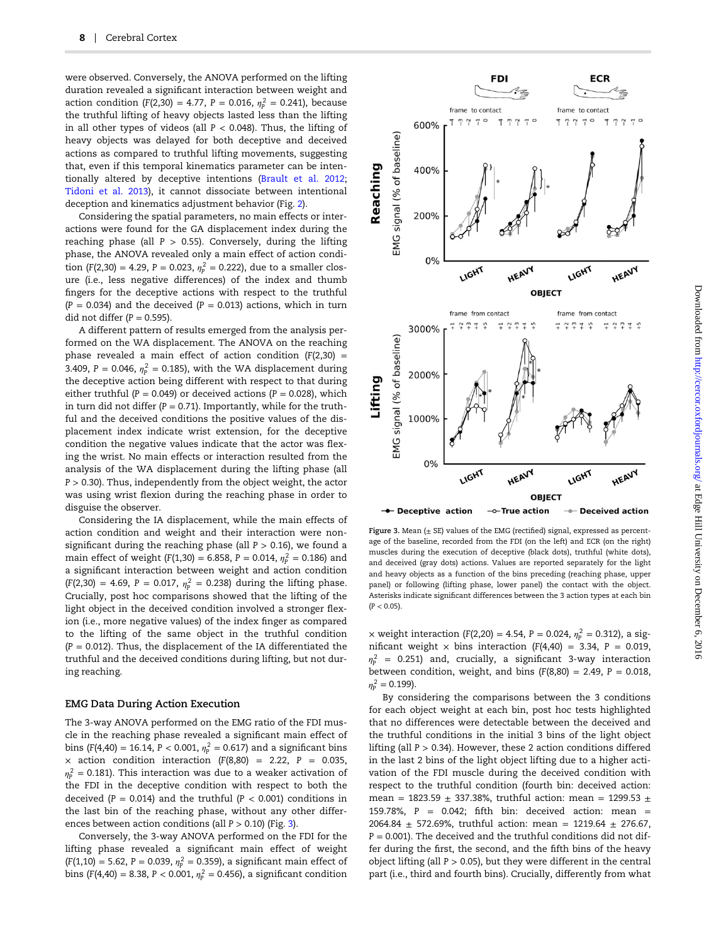were observed. Conversely, the ANOVA performed on the lifting duration revealed a significant interaction between weight and action condition (F(2,30) = 4.77, P = 0.016,  $\eta_{\rm p}^2$  = 0.241), because the truthful lifting of heavy objects lasted less than the lifting in all other types of videos (all  $P < 0.048$ ). Thus, the lifting of heavy objects was delayed for both deceptive and deceived actions as compared to truthful lifting movements, suggesting that, even if this temporal kinematics parameter can be intentionally altered by deceptive intentions ([Brault et al. 2012;](#page-12-0) [Tidoni et al. 2013](#page-14-0)), it cannot dissociate between intentional deception and kinematics adjustment behavior (Fig. [2\)](#page-5-0).

Considering the spatial parameters, no main effects or interactions were found for the GA displacement index during the reaching phase (all  $P > 0.55$ ). Conversely, during the lifting phase, the ANOVA revealed only a main effect of action condition (F(2,30) = 4.29, P = 0.023,  $\eta_{\rm P}^2$  = 0.222), due to a smaller closure (i.e., less negative differences) of the index and thumb fingers for the deceptive actions with respect to the truthful  $(P = 0.034)$  and the deceived  $(P = 0.013)$  actions, which in turn did not differ  $(P = 0.595)$ .

A different pattern of results emerged from the analysis performed on the WA displacement. The ANOVA on the reaching phase revealed a main effect of action condition  $(F(2,30) =$ 3.409,  $P = 0.046$ ,  $\eta_P^2 = 0.185$ ), with the WA displacement during the deceptive action being different with respect to that during either truthful ( $P = 0.049$ ) or deceived actions ( $P = 0.028$ ), which in turn did not differ ( $P = 0.71$ ). Importantly, while for the truthful and the deceived conditions the positive values of the displacement index indicate wrist extension, for the deceptive condition the negative values indicate that the actor was flexing the wrist. No main effects or interaction resulted from the analysis of the WA displacement during the lifting phase (all  $P > 0.30$ ). Thus, independently from the object weight, the actor was using wrist flexion during the reaching phase in order to disguise the observer.

Considering the IA displacement, while the main effects of action condition and weight and their interaction were nonsignificant during the reaching phase (all  $P > 0.16$ ), we found a main effect of weight (F(1,30) = 6.858, P = 0.014,  $\eta_{\rm P}^2$  = 0.186) and a significant interaction between weight and action condition  $(F(2,30) = 4.69, P = 0.017, \eta_P^2 = 0.238)$  during the lifting phase. Crucially, post hoc comparisons showed that the lifting of the light object in the deceived condition involved a stronger flexion (i.e., more negative values) of the index finger as compared to the lifting of the same object in the truthful condition  $(P = 0.012)$ . Thus, the displacement of the IA differentiated the truthful and the deceived conditions during lifting, but not during reaching.

#### EMG Data During Action Execution

The 3-way ANOVA performed on the EMG ratio of the FDI muscle in the reaching phase revealed a significant main effect of bins (F(4,40) = 16.14, P < 0.001,  $\eta_{\rm P}^{\,2} = 0.617$ ) and a significant bins  $\times$  action condition interaction (F(8,80) = 2.22, P = 0.035,  $\eta_{\rm P}^2$  = 0.181). This interaction was due to a weaker activation of the FDI in the deceptive condition with respect to both the deceived ( $P = 0.014$ ) and the truthful ( $P < 0.001$ ) conditions in the last bin of the reaching phase, without any other differences between action conditions (all  $P > 0.10$ ) (Fig. 3).

Conversely, the 3-way ANOVA performed on the FDI for the lifting phase revealed a significant main effect of weight  $(F(1, 10) = 5.62, P = 0.039, \eta_P^2 = 0.359)$ , a significant main effect of bins (F(4,40) = 8.38, P < 0.001,  $\eta_{\rm P}^2$  = 0.456), a significant condition



Figure 3. Mean  $(\pm$  SE) values of the EMG (rectified) signal, expressed as percentage of the baseline, recorded from the FDI (on the left) and ECR (on the right) muscles during the execution of deceptive (black dots), truthful (white dots), and deceived (gray dots) actions. Values are reported separately for the light and heavy objects as a function of the bins preceding (reaching phase, upper panel) or following (lifting phase, lower panel) the contact with the object. Asterisks indicate significant differences between the 3 action types at each bin  $(P < 0.05)$ .

 $\times$  weight interaction (F(2,20) = 4.54, P = 0.024,  $\eta_{\rm P}^{\,2}$  = 0.312), a significant weight  $\times$  bins interaction (F(4,40) = 3.34, P = 0.019, *ηP* <sup>2</sup> = 0.251) and, crucially, a significant 3-way interaction between condition, weight, and bins  $(F(8,80) = 2.49, P = 0.018,$  $\eta_P^2 = 0.199$ ).

By considering the comparisons between the 3 conditions for each object weight at each bin, post hoc tests highlighted that no differences were detectable between the deceived and the truthful conditions in the initial 3 bins of the light object lifting (all  $P > 0.34$ ). However, these 2 action conditions differed in the last 2 bins of the light object lifting due to a higher activation of the FDI muscle during the deceived condition with respect to the truthful condition (fourth bin: deceived action: mean = 1823.59  $\pm$  337.38%, truthful action: mean = 1299.53  $\pm$ 159.78%,  $P = 0.042$ ; fifth bin: deceived action: mean = 2064.84  $\pm$  572.69%, truthful action: mean = 1219.64  $\pm$  276.67,  $P = 0.001$ ). The deceived and the truthful conditions did not differ during the first, the second, and the fifth bins of the heavy object lifting (all  $P > 0.05$ ), but they were different in the central part (i.e., third and fourth bins). Crucially, differently from what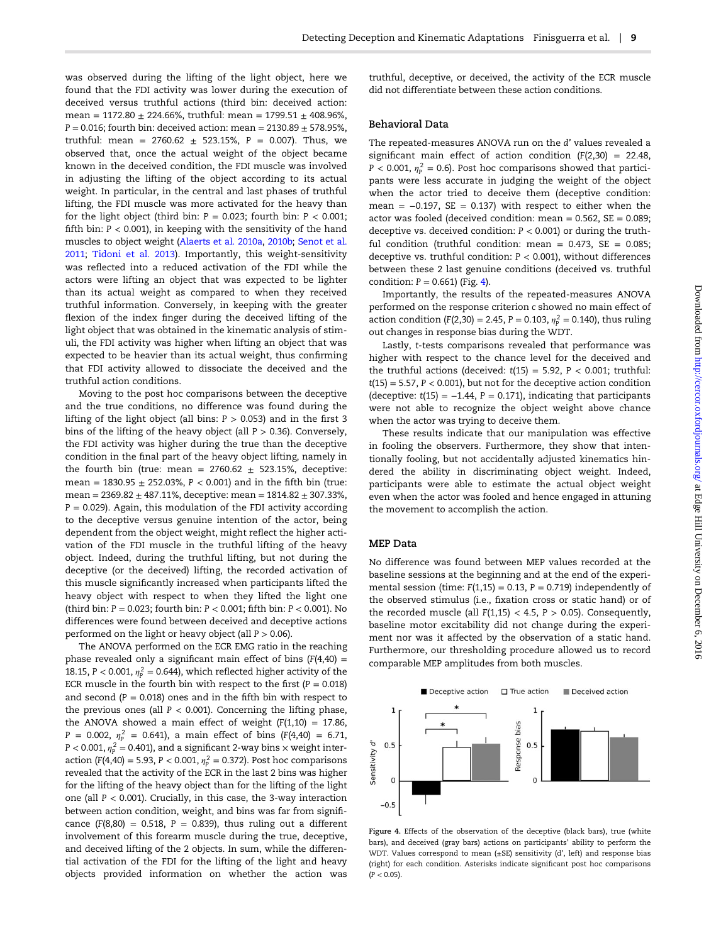was observed during the lifting of the light object, here we found that the FDI activity was lower during the execution of deceived versus truthful actions (third bin: deceived action: mean =  $1172.80 \pm 224.66\%$ , truthful: mean =  $1799.51 \pm 408.96\%$ ,  $P = 0.016$ ; fourth bin: deceived action: mean = 2130.89  $\pm$  578.95%, truthful: mean =  $2760.62 \pm 523.15\%$ , P = 0.007). Thus, we observed that, once the actual weight of the object became known in the deceived condition, the FDI muscle was involved in adjusting the lifting of the object according to its actual weight. In particular, in the central and last phases of truthful lifting, the FDI muscle was more activated for the heavy than for the light object (third bin:  $P = 0.023$ ; fourth bin:  $P < 0.001$ ; fifth bin:  $P < 0.001$ ), in keeping with the sensitivity of the hand muscles to object weight [\(Alaerts et al. 2010a,](#page-12-0) [2010b;](#page-12-0) [Senot et al.](#page-14-0) [2011;](#page-14-0) [Tidoni et al. 2013](#page-14-0)). Importantly, this weight-sensitivity was reflected into a reduced activation of the FDI while the actors were lifting an object that was expected to be lighter than its actual weight as compared to when they received truthful information. Conversely, in keeping with the greater flexion of the index finger during the deceived lifting of the light object that was obtained in the kinematic analysis of stimuli, the FDI activity was higher when lifting an object that was expected to be heavier than its actual weight, thus confirming that FDI activity allowed to dissociate the deceived and the truthful action conditions.

Moving to the post hoc comparisons between the deceptive and the true conditions, no difference was found during the lifting of the light object (all bins:  $P > 0.053$ ) and in the first 3 bins of the lifting of the heavy object (all  $P > 0.36$ ). Conversely, the FDI activity was higher during the true than the deceptive condition in the final part of the heavy object lifting, namely in the fourth bin (true: mean =  $2760.62 \pm 523.15$ %, deceptive: mean =  $1830.95 \pm 252.03$ %,  $P < 0.001$ ) and in the fifth bin (true: mean =  $2369.82 \pm 487.11$ %, deceptive: mean =  $1814.82 \pm 307.33$ %,  $P = 0.029$ ). Again, this modulation of the FDI activity according to the deceptive versus genuine intention of the actor, being dependent from the object weight, might reflect the higher activation of the FDI muscle in the truthful lifting of the heavy object. Indeed, during the truthful lifting, but not during the deceptive (or the deceived) lifting, the recorded activation of this muscle significantly increased when participants lifted the heavy object with respect to when they lifted the light one (third bin:  $P = 0.023$ ; fourth bin:  $P < 0.001$ ; fifth bin:  $P < 0.001$ ). No differences were found between deceived and deceptive actions performed on the light or heavy object (all  $P > 0.06$ ).

The ANOVA performed on the ECR EMG ratio in the reaching phase revealed only a significant main effect of bins  $(F(4,40) =$ 18.15, P  $<$  0.001,  $\eta_{\rm P}^2$  = 0.644), which reflected higher activity of the ECR muscle in the fourth bin with respect to the first  $(P = 0.018)$ and second  $(P = 0.018)$  ones and in the fifth bin with respect to the previous ones (all  $P < 0.001$ ). Concerning the lifting phase, the ANOVA showed a main effect of weight  $(F(1,10) = 17.86,$  $P = 0.002$ ,  $\eta_P^2 = 0.641$ ), a main effect of bins (F(4,40) = 6.71,  $P < 0.001$ ,  $\eta_P^2 = 0.401$ ), and a significant 2-way bins  $\times$  weight interaction (F(4,40) = 5.93, P < 0.001,  $\eta_{\rm P}^2 = 0.372$ ). Post hoc comparisons revealed that the activity of the ECR in the last 2 bins was higher for the lifting of the heavy object than for the lifting of the light one (all  $P < 0.001$ ). Crucially, in this case, the 3-way interaction between action condition, weight, and bins was far from significance  $(F(8,80) = 0.518, P = 0.839)$ , thus ruling out a different involvement of this forearm muscle during the true, deceptive, and deceived lifting of the 2 objects. In sum, while the differential activation of the FDI for the lifting of the light and heavy objects provided information on whether the action was

truthful, deceptive, or deceived, the activity of the ECR muscle did not differentiate between these action conditions.

#### Behavioral Data

The repeated-measures ANOVA run on the d' values revealed a significant main effect of action condition  $(F(2,30) = 22.48,$  $P < 0.001$ ,  $\eta_P^2 = 0.6$ ). Post hoc comparisons showed that participants were less accurate in judging the weight of the object when the actor tried to deceive them (deceptive condition: mean =  $-0.197$ , SE = 0.137) with respect to either when the actor was fooled (deceived condition: mean  $= 0.562$ ,  $SE = 0.089$ ; deceptive vs. deceived condition:  $P < 0.001$ ) or during the truthful condition (truthful condition: mean =  $0.473$ , SE =  $0.085$ ; deceptive vs. truthful condition:  $P < 0.001$ ), without differences between these 2 last genuine conditions (deceived vs. truthful condition:  $P = 0.661$ ) (Fig. 4).

Importantly, the results of the repeated-measures ANOVA performed on the response criterion c showed no main effect of action condition (F(2,30) = 2.45, P = 0.103,  $\eta_p^2$  = 0.140), thus ruling out changes in response bias during the WDT.

Lastly, t-tests comparisons revealed that performance was higher with respect to the chance level for the deceived and the truthful actions (deceived:  $t(15) = 5.92$ ,  $P < 0.001$ ; truthful:  $t(15) = 5.57$ ,  $P < 0.001$ ), but not for the deceptive action condition (deceptive:  $t(15) = -1.44$ ,  $P = 0.171$ ), indicating that participants were not able to recognize the object weight above chance when the actor was trying to deceive them.

These results indicate that our manipulation was effective in fooling the observers. Furthermore, they show that intentionally fooling, but not accidentally adjusted kinematics hindered the ability in discriminating object weight. Indeed, participants were able to estimate the actual object weight even when the actor was fooled and hence engaged in attuning the movement to accomplish the action.

# MEP Data

No difference was found between MEP values recorded at the baseline sessions at the beginning and at the end of the experimental session (time:  $F(1,15) = 0.13$ ,  $P = 0.719$ ) independently of the observed stimulus (i.e., fixation cross or static hand) or of the recorded muscle (all  $F(1,15) < 4.5$ ,  $P > 0.05$ ). Consequently, baseline motor excitability did not change during the experiment nor was it affected by the observation of a static hand. Furthermore, our thresholding procedure allowed us to record comparable MEP amplitudes from both muscles.



Figure 4. Effects of the observation of the deceptive (black bars), true (white bars), and deceived (gray bars) actions on participants' ability to perform the WDT. Values correspond to mean (±SE) sensitivity (d', left) and response bias (right) for each condition. Asterisks indicate significant post hoc comparisons  $(P < 0.05)$ .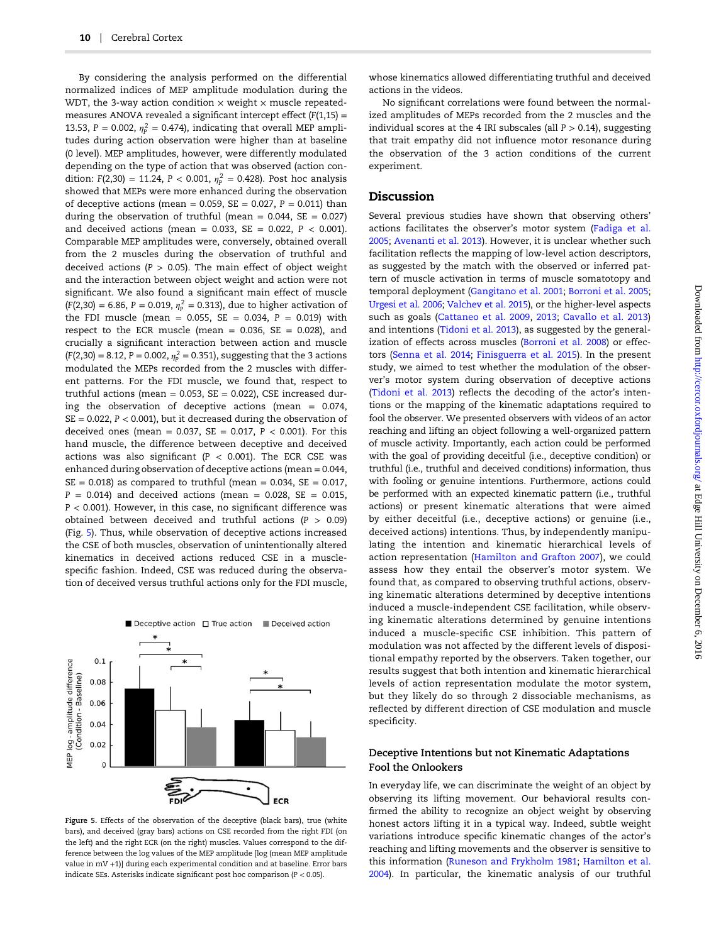By considering the analysis performed on the differential normalized indices of MEP amplitude modulation during the WDT, the 3-way action condition  $\times$  weight  $\times$  muscle repeatedmeasures ANOVA revealed a significant intercept effect  $(F(1,15) =$ 13.53,  $P = 0.002$ ,  $\eta_P^2 = 0.474$ ), indicating that overall MEP amplitudes during action observation were higher than at baseline (0 level). MEP amplitudes, however, were differently modulated depending on the type of action that was observed (action condition: F(2,30) = 11.24, P < 0.001,  $\eta_{\rm p}^2$  = 0.428). Post hoc analysis showed that MEPs were more enhanced during the observation of deceptive actions (mean = 0.059,  $SE = 0.027$ ,  $P = 0.011$ ) than during the observation of truthful (mean =  $0.044$ , SE =  $0.027$ ) and deceived actions (mean =  $0.033$ , SE =  $0.022$ , P < 0.001). Comparable MEP amplitudes were, conversely, obtained overall from the 2 muscles during the observation of truthful and deceived actions ( $P > 0.05$ ). The main effect of object weight and the interaction between object weight and action were not significant. We also found a significant main effect of muscle  $(F(2,30) = 6.86, P = 0.019, \eta_{P}^{2} = 0.313)$ , due to higher activation of the FDI muscle (mean =  $0.055$ , SE =  $0.034$ , P =  $0.019$ ) with respect to the ECR muscle (mean =  $0.036$ , SE =  $0.028$ ), and crucially a significant interaction between action and muscle  $(F(2,30) = 8.12, P = 0.002, \eta_P^2 = 0.351)$ , suggesting that the 3 actions modulated the MEPs recorded from the 2 muscles with different patterns. For the FDI muscle, we found that, respect to truthful actions (mean =  $0.053$ , SE =  $0.022$ ), CSE increased during the observation of deceptive actions (mean =  $0.074$ ,  $SE = 0.022$ ,  $P < 0.001$ ), but it decreased during the observation of deceived ones (mean =  $0.037$ , SE =  $0.017$ , P <  $0.001$ ). For this hand muscle, the difference between deceptive and deceived actions was also significant ( $P < 0.001$ ). The ECR CSE was enhanced during observation of deceptive actions (mean = 0.044,  $SE = 0.018$ ) as compared to truthful (mean = 0.034,  $SE = 0.017$ ,  $P = 0.014$ ) and deceived actions (mean = 0.028, SE = 0.015,  $P < 0.001$ ). However, in this case, no significant difference was obtained between deceived and truthful actions ( $P > 0.09$ ) (Fig. 5). Thus, while observation of deceptive actions increased the CSE of both muscles, observation of unintentionally altered kinematics in deceived actions reduced CSE in a musclespecific fashion. Indeed, CSE was reduced during the observation of deceived versus truthful actions only for the FDI muscle,



Figure 5. Effects of the observation of the deceptive (black bars), true (white bars), and deceived (gray bars) actions on CSE recorded from the right FDI (on the left) and the right ECR (on the right) muscles. Values correspond to the difference between the log values of the MEP amplitude [log (mean MEP amplitude value in mV +1)] during each experimental condition and at baseline. Error bars indicate SEs. Asterisks indicate significant post hoc comparison  $(P < 0.05)$ .

whose kinematics allowed differentiating truthful and deceived actions in the videos.

No significant correlations were found between the normalized amplitudes of MEPs recorded from the 2 muscles and the individual scores at the 4 IRI subscales (all  $P > 0.14$ ), suggesting that trait empathy did not influence motor resonance during the observation of the 3 action conditions of the current experiment.

# Discussion

Several previous studies have shown that observing others' actions facilitates the observer's motor system [\(Fadiga et al.](#page-13-0) [2005;](#page-13-0) [Avenanti et al. 2013\)](#page-12-0). However, it is unclear whether such facilitation reflects the mapping of low-level action descriptors, as suggested by the match with the observed or inferred pattern of muscle activation in terms of muscle somatotopy and temporal deployment ([Gangitano et al. 2001](#page-13-0); [Borroni et al. 2005;](#page-12-0) [Urgesi et al. 2006;](#page-14-0) [Valchev et al. 2015\)](#page-14-0), or the higher-level aspects such as goals [\(Cattaneo et al. 2009,](#page-13-0) [2013](#page-13-0); [Cavallo et al. 2013\)](#page-13-0) and intentions ([Tidoni et al. 2013](#page-14-0)), as suggested by the generalization of effects across muscles [\(Borroni et al. 2008](#page-12-0)) or effectors (Senna [et al. 2014](#page-14-0); [Finisguerra et al. 2015\)](#page-13-0). In the present study, we aimed to test whether the modulation of the observer's motor system during observation of deceptive actions [\(Tidoni et al. 2013\)](#page-14-0) reflects the decoding of the actor's intentions or the mapping of the kinematic adaptations required to fool the observer. We presented observers with videos of an actor reaching and lifting an object following a well-organized pattern of muscle activity. Importantly, each action could be performed with the goal of providing deceitful (i.e., deceptive condition) or truthful (i.e., truthful and deceived conditions) information, thus with fooling or genuine intentions. Furthermore, actions could be performed with an expected kinematic pattern (i.e., truthful actions) or present kinematic alterations that were aimed by either deceitful (i.e., deceptive actions) or genuine (i.e., deceived actions) intentions. Thus, by independently manipulating the intention and kinematic hierarchical levels of action representation [\(Hamilton and Grafton 2007\)](#page-13-0), we could assess how they entail the observer's motor system. We found that, as compared to observing truthful actions, observing kinematic alterations determined by deceptive intentions induced a muscle-independent CSE facilitation, while observing kinematic alterations determined by genuine intentions induced a muscle-specific CSE inhibition. This pattern of modulation was not affected by the different levels of dispositional empathy reported by the observers. Taken together, our results suggest that both intention and kinematic hierarchical levels of action representation modulate the motor system, but they likely do so through 2 dissociable mechanisms, as reflected by different direction of CSE modulation and muscle specificity.

# Deceptive Intentions but not Kinematic Adaptations Fool the Onlookers

In everyday life, we can discriminate the weight of an object by observing its lifting movement. Our behavioral results confirmed the ability to recognize an object weight by observing honest actors lifting it in a typical way. Indeed, subtle weight variations introduce specific kinematic changes of the actor's reaching and lifting movements and the observer is sensitive to this information [\(Runeson and Frykholm 1981;](#page-14-0) [Hamilton et al.](#page-13-0) [2004\)](#page-13-0). In particular, the kinematic analysis of our truthful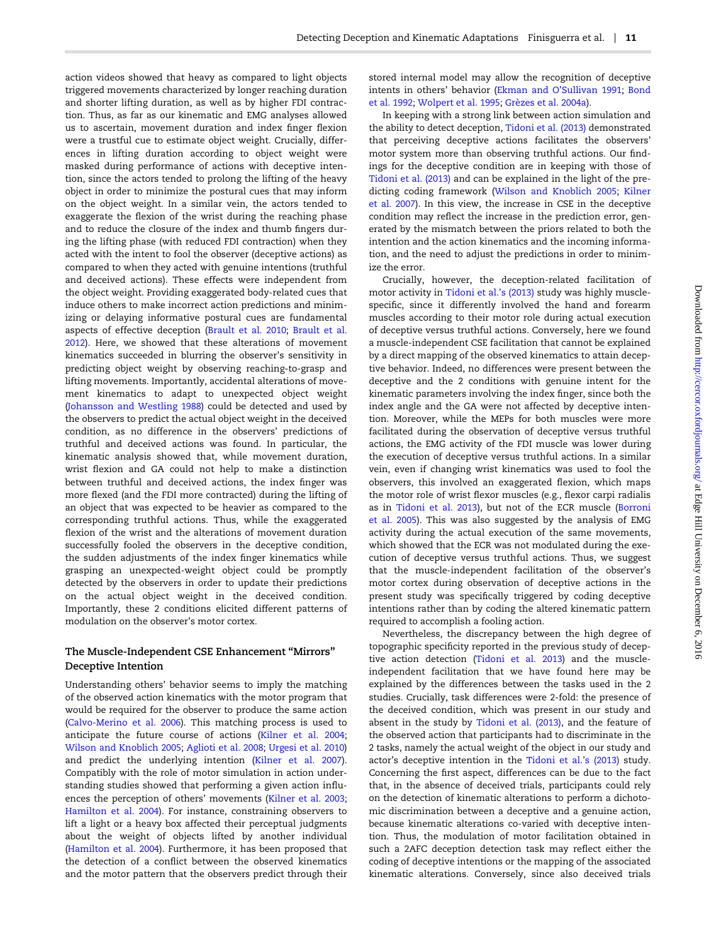action videos showed that heavy as compared to light objects triggered movements characterized by longer reaching duration and shorter lifting duration, as well as by higher FDI contraction. Thus, as far as our kinematic and EMG analyses allowed us to ascertain, movement duration and index finger flexion were a trustful cue to estimate object weight. Crucially, differences in lifting duration according to object weight were masked during performance of actions with deceptive intention, since the actors tended to prolong the lifting of the heavy object in order to minimize the postural cues that may inform on the object weight. In a similar vein, the actors tended to exaggerate the flexion of the wrist during the reaching phase and to reduce the closure of the index and thumb fingers during the lifting phase (with reduced FDI contraction) when they acted with the intent to fool the observer (deceptive actions) as compared to when they acted with genuine intentions (truthful and deceived actions). These effects were independent from the object weight. Providing exaggerated body-related cues that induce others to make incorrect action predictions and minimizing or delaying informative postural cues are fundamental aspects of effective deception [\(Brault et al. 2010](#page-12-0); [Brault et al.](#page-12-0) [2012\)](#page-12-0). Here, we showed that these alterations of movement kinematics succeeded in blurring the observer's sensitivity in predicting object weight by observing reaching-to-grasp and lifting movements. Importantly, accidental alterations of movement kinematics to adapt to unexpected object weight [\(Johansson and Westling 1988\)](#page-13-0) could be detected and used by the observers to predict the actual object weight in the deceived condition, as no difference in the observers' predictions of truthful and deceived actions was found. In particular, the kinematic analysis showed that, while movement duration, wrist flexion and GA could not help to make a distinction between truthful and deceived actions, the index finger was more flexed (and the FDI more contracted) during the lifting of an object that was expected to be heavier as compared to the corresponding truthful actions. Thus, while the exaggerated flexion of the wrist and the alterations of movement duration successfully fooled the observers in the deceptive condition, the sudden adjustments of the index finger kinematics while grasping an unexpected-weight object could be promptly detected by the observers in order to update their predictions on the actual object weight in the deceived condition. Importantly, these 2 conditions elicited different patterns of modulation on the observer's motor cortex.

# The Muscle-Independent CSE Enhancement "Mirrors" Deceptive Intention

Understanding others' behavior seems to imply the matching of the observed action kinematics with the motor program that would be required for the observer to produce the same action [\(Calvo-Merino et al. 2006](#page-13-0)). This matching process is used to anticipate the future course of actions [\(Kilner et al. 2004;](#page-13-0) [Wilson and Knoblich 2005](#page-14-0); [Aglioti et al. 2008](#page-12-0); [Urgesi et al. 2010\)](#page-14-0) and predict the underlying intention ([Kilner et al. 2007\)](#page-13-0). Compatibly with the role of motor simulation in action understanding studies showed that performing a given action influences the perception of others' movements ([Kilner et al. 2003;](#page-13-0) [Hamilton et al. 2004\)](#page-13-0). For instance, constraining observers to lift a light or a heavy box affected their perceptual judgments about the weight of objects lifted by another individual [\(Hamilton et al. 2004](#page-13-0)). Furthermore, it has been proposed that the detection of a conflict between the observed kinematics and the motor pattern that the observers predict through their stored internal model may allow the recognition of deceptive intents in others' behavior [\(Ekman and O](#page-13-0)'Sullivan 1991; [Bond](#page-12-0) [et al.](#page-12-0) 1992; [Wolpert et al. 1995;](#page-14-0) [Grèzes et al. 2004a](#page-13-0)).

In keeping with a strong link between action simulation and the ability to detect deception, [Tidoni et al. \(2013\)](#page-14-0) demonstrated that perceiving deceptive actions facilitates the observers' motor system more than observing truthful actions. Our findings for the deceptive condition are in keeping with those of [Tidoni et al. \(2013\)](#page-14-0) and can be explained in the light of the predicting coding framework [\(Wilson and Knoblich 2005;](#page-14-0) [Kilner](#page-13-0) [et al.](#page-13-0) 2007). In this view, the increase in CSE in the deceptive condition may reflect the increase in the prediction error, generated by the mismatch between the priors related to both the intention and the action kinematics and the incoming information, and the need to adjust the predictions in order to minimize the error.

Crucially, however, the deception-related facilitation of motor activity in [Tidoni et al.](#page-14-0)'s (2013) study was highly musclespecific, since it differently involved the hand and forearm muscles according to their motor role during actual execution of deceptive versus truthful actions. Conversely, here we found a muscle-independent CSE facilitation that cannot be explained by a direct mapping of the observed kinematics to attain deceptive behavior. Indeed, no differences were present between the deceptive and the 2 conditions with genuine intent for the kinematic parameters involving the index finger, since both the index angle and the GA were not affected by deceptive intention. Moreover, while the MEPs for both muscles were more facilitated during the observation of deceptive versus truthful actions, the EMG activity of the FDI muscle was lower during the execution of deceptive versus truthful actions. In a similar vein, even if changing wrist kinematics was used to fool the observers, this involved an exaggerated flexion, which maps the motor role of wrist flexor muscles (e.g., flexor carpi radialis as in [Tidoni et al. 2013\)](#page-14-0), but not of the ECR muscle ([Borroni](#page-12-0) [et al.](#page-12-0) 2005). This was also suggested by the analysis of EMG activity during the actual execution of the same movements, which showed that the ECR was not modulated during the execution of deceptive versus truthful actions. Thus, we suggest that the muscle-independent facilitation of the observer's motor cortex during observation of deceptive actions in the present study was specifically triggered by coding deceptive intentions rather than by coding the altered kinematic pattern required to accomplish a fooling action.

Nevertheless, the discrepancy between the high degree of topographic specificity reported in the previous study of deceptive action detection ([Tidoni et al. 2013\)](#page-14-0) and the muscleindependent facilitation that we have found here may be explained by the differences between the tasks used in the 2 studies. Crucially, task differences were 2-fold: the presence of the deceived condition, which was present in our study and absent in the study by [Tidoni et al. \(2013\),](#page-14-0) and the feature of the observed action that participants had to discriminate in the 2 tasks, namely the actual weight of the object in our study and actor's deceptive intention in the [Tidoni et al.](#page-14-0)'s (2013) study. Concerning the first aspect, differences can be due to the fact that, in the absence of deceived trials, participants could rely on the detection of kinematic alterations to perform a dichotomic discrimination between a deceptive and a genuine action, because kinematic alterations co-varied with deceptive intention. Thus, the modulation of motor facilitation obtained in such a 2AFC deception detection task may reflect either the coding of deceptive intentions or the mapping of the associated kinematic alterations. Conversely, since also deceived trials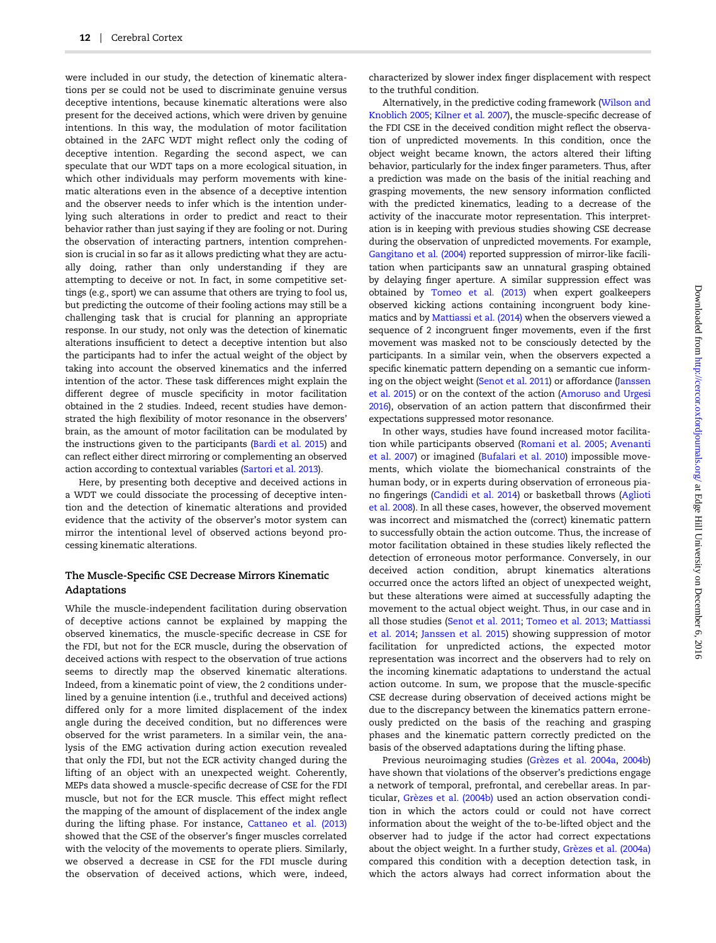were included in our study, the detection of kinematic alterations per se could not be used to discriminate genuine versus deceptive intentions, because kinematic alterations were also present for the deceived actions, which were driven by genuine intentions. In this way, the modulation of motor facilitation obtained in the 2AFC WDT might reflect only the coding of deceptive intention. Regarding the second aspect, we can speculate that our WDT taps on a more ecological situation, in which other individuals may perform movements with kinematic alterations even in the absence of a deceptive intention and the observer needs to infer which is the intention underlying such alterations in order to predict and react to their behavior rather than just saying if they are fooling or not. During the observation of interacting partners, intention comprehension is crucial in so far as it allows predicting what they are actually doing, rather than only understanding if they are attempting to deceive or not. In fact, in some competitive settings (e.g., sport) we can assume that others are trying to fool us, but predicting the outcome of their fooling actions may still be a challenging task that is crucial for planning an appropriate response. In our study, not only was the detection of kinematic alterations insufficient to detect a deceptive intention but also the participants had to infer the actual weight of the object by taking into account the observed kinematics and the inferred intention of the actor. These task differences might explain the different degree of muscle specificity in motor facilitation obtained in the 2 studies. Indeed, recent studies have demonstrated the high flexibility of motor resonance in the observers' brain, as the amount of motor facilitation can be modulated by the instructions given to the participants [\(Bardi et al. 2015](#page-12-0)) and can reflect either direct mirroring or complementing an observed action according to contextual variables [\(Sartori et al. 2013\)](#page-14-0).

Here, by presenting both deceptive and deceived actions in a WDT we could dissociate the processing of deceptive intention and the detection of kinematic alterations and provided evidence that the activity of the observer's motor system can mirror the intentional level of observed actions beyond processing kinematic alterations.

# The Muscle-Specific CSE Decrease Mirrors Kinematic Adaptations

While the muscle-independent facilitation during observation of deceptive actions cannot be explained by mapping the observed kinematics, the muscle-specific decrease in CSE for the FDI, but not for the ECR muscle, during the observation of deceived actions with respect to the observation of true actions seems to directly map the observed kinematic alterations. Indeed, from a kinematic point of view, the 2 conditions underlined by a genuine intention (i.e., truthful and deceived actions) differed only for a more limited displacement of the index angle during the deceived condition, but no differences were observed for the wrist parameters. In a similar vein, the analysis of the EMG activation during action execution revealed that only the FDI, but not the ECR activity changed during the lifting of an object with an unexpected weight. Coherently, MEPs data showed a muscle-specific decrease of CSE for the FDI muscle, but not for the ECR muscle. This effect might reflect the mapping of the amount of displacement of the index angle during the lifting phase. For instance, [Cattaneo et al. \(2013\)](#page-13-0) showed that the CSE of the observer's finger muscles correlated with the velocity of the movements to operate pliers. Similarly, we observed a decrease in CSE for the FDI muscle during the observation of deceived actions, which were, indeed,

characterized by slower index finger displacement with respect to the truthful condition.

Alternatively, in the predictive coding framework ([Wilson and](#page-14-0) [Knoblich 2005](#page-14-0); [Kilner et al. 2007\)](#page-13-0), the muscle-specific decrease of the FDI CSE in the deceived condition might reflect the observation of unpredicted movements. In this condition, once the object weight became known, the actors altered their lifting behavior, particularly for the index finger parameters. Thus, after a prediction was made on the basis of the initial reaching and grasping movements, the new sensory information conflicted with the predicted kinematics, leading to a decrease of the activity of the inaccurate motor representation. This interpretation is in keeping with previous studies showing CSE decrease during the observation of unpredicted movements. For example, [Gangitano et al. \(2004\)](#page-13-0) reported suppression of mirror-like facilitation when participants saw an unnatural grasping obtained by delaying finger aperture. A similar suppression effect was obtained by [Tomeo et al. \(2013\)](#page-14-0) when expert goalkeepers observed kicking actions containing incongruent body kinematics and by [Mattiassi et al. \(2014\)](#page-13-0) when the observers viewed a sequence of 2 incongruent finger movements, even if the first movement was masked not to be consciously detected by the participants. In a similar vein, when the observers expected a specific kinematic pattern depending on a semantic cue informing on the object weight [\(Senot et al. 2011\)](#page-14-0) or affordance [\(Janssen](#page-13-0) et [al. 2015\)](#page-13-0) or on the context of the action [\(Amoruso and Urgesi](#page-12-0) [2016](#page-12-0)), observation of an action pattern that disconfirmed their expectations suppressed motor resonance.

In other ways, studies have found increased motor facilitation while participants observed [\(Romani et al. 2005;](#page-14-0) [Avenanti](#page-12-0) [et al.](#page-12-0) 2007) or imagined [\(Bufalari et al. 2010\)](#page-13-0) impossible movements, which violate the biomechanical constraints of the human body, or in experts during observation of erroneous piano fingerings ([Candidi et al. 2014](#page-13-0)) or basketball throws ([Aglioti](#page-12-0) [et al.](#page-12-0) 2008). In all these cases, however, the observed movement was incorrect and mismatched the (correct) kinematic pattern to successfully obtain the action outcome. Thus, the increase of motor facilitation obtained in these studies likely reflected the detection of erroneous motor performance. Conversely, in our deceived action condition, abrupt kinematics alterations occurred once the actors lifted an object of unexpected weight, but these alterations were aimed at successfully adapting the movement to the actual object weight. Thus, in our case and in all those studies ([Senot et al. 2011](#page-14-0); [Tomeo et al. 2013](#page-14-0); [Mattiassi](#page-13-0) [et al.](#page-13-0) 2014; [Janssen et al. 2015\)](#page-13-0) showing suppression of motor facilitation for unpredicted actions, the expected motor representation was incorrect and the observers had to rely on the incoming kinematic adaptations to understand the actual action outcome. In sum, we propose that the muscle-specific CSE decrease during observation of deceived actions might be due to the discrepancy between the kinematics pattern erroneously predicted on the basis of the reaching and grasping phases and the kinematic pattern correctly predicted on the basis of the observed adaptations during the lifting phase.

Previous neuroimaging studies [\(Grèzes et al. 2004a](#page-13-0), [2004b\)](#page-13-0) have shown that violations of the observer's predictions engage a network of temporal, prefrontal, and cerebellar areas. In particular, [Grèzes et al. \(2004b\)](#page-13-0) used an action observation condition in which the actors could or could not have correct information about the weight of the to-be-lifted object and the observer had to judge if the actor had correct expectations about the object weight. In a further study, [Grèzes et al. \(2004a\)](#page-13-0) compared this condition with a deception detection task, in which the actors always had correct information about the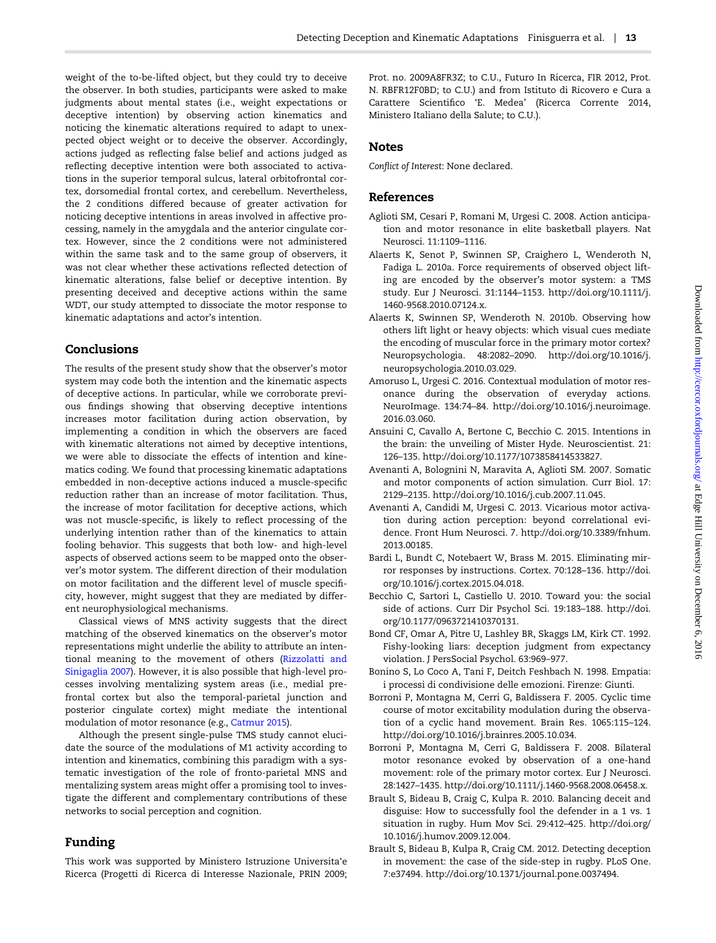<span id="page-12-0"></span>weight of the to-be-lifted object, but they could try to deceive the observer. In both studies, participants were asked to make judgments about mental states (i.e., weight expectations or deceptive intention) by observing action kinematics and noticing the kinematic alterations required to adapt to unexpected object weight or to deceive the observer. Accordingly, actions judged as reflecting false belief and actions judged as reflecting deceptive intention were both associated to activations in the superior temporal sulcus, lateral orbitofrontal cortex, dorsomedial frontal cortex, and cerebellum. Nevertheless, the 2 conditions differed because of greater activation for noticing deceptive intentions in areas involved in affective processing, namely in the amygdala and the anterior cingulate cortex. However, since the 2 conditions were not administered within the same task and to the same group of observers, it was not clear whether these activations reflected detection of kinematic alterations, false belief or deceptive intention. By presenting deceived and deceptive actions within the same WDT, our study attempted to dissociate the motor response to kinematic adaptations and actor's intention.

# Conclusions

The results of the present study show that the observer's motor system may code both the intention and the kinematic aspects of deceptive actions. In particular, while we corroborate previous findings showing that observing deceptive intentions increases motor facilitation during action observation, by implementing a condition in which the observers are faced with kinematic alterations not aimed by deceptive intentions, we were able to dissociate the effects of intention and kinematics coding. We found that processing kinematic adaptations embedded in non-deceptive actions induced a muscle-specific reduction rather than an increase of motor facilitation. Thus, the increase of motor facilitation for deceptive actions, which was not muscle-specific, is likely to reflect processing of the underlying intention rather than of the kinematics to attain fooling behavior. This suggests that both low- and high-level aspects of observed actions seem to be mapped onto the observer's motor system. The different direction of their modulation on motor facilitation and the different level of muscle specificity, however, might suggest that they are mediated by different neurophysiological mechanisms.

Classical views of MNS activity suggests that the direct matching of the observed kinematics on the observer's motor representations might underlie the ability to attribute an intentional meaning to the movement of others ([Rizzolatti and](#page-14-0) [Sinigaglia 2007](#page-14-0)). However, it is also possible that high-level processes involving mentalizing system areas (i.e., medial prefrontal cortex but also the temporal-parietal junction and posterior cingulate cortex) might mediate the intentional modulation of motor resonance (e.g., [Catmur 2015\)](#page-13-0).

Although the present single-pulse TMS study cannot elucidate the source of the modulations of M1 activity according to intention and kinematics, combining this paradigm with a systematic investigation of the role of fronto-parietal MNS and mentalizing system areas might offer a promising tool to investigate the different and complementary contributions of these networks to social perception and cognition.

# Funding

This work was supported by Ministero Istruzione Universita'e Ricerca (Progetti di Ricerca di Interesse Nazionale, PRIN 2009;

Prot. no. 2009A8FR3Z; to C.U., Futuro In Ricerca, FIR 2012, Prot. N. RBFR12F0BD; to C.U.) and from Istituto di Ricovero e Cura a Carattere Scientifico 'E. Medea' (Ricerca Corrente 2014, Ministero Italiano della Salute; to C.U.).

# Notes

Conflict of Interest: None declared.

# References

- Aglioti SM, Cesari P, Romani M, Urgesi C. 2008. Action anticipation and motor resonance in elite basketball players. Nat Neurosci. 11:1109–1116.
- Alaerts K, Senot P, Swinnen SP, Craighero L, Wenderoth N, Fadiga L. 2010a. Force requirements of observed object lifting are encoded by the observer's motor system: a TMS study. Eur J Neurosci. 31:1144–1153. [http://doi.org/10.1111/j.](http://dx.doi.org/http://doi.org/10.1111/j.1460-9568.2010.07124.x) [1460-9568.2010.07124.x.](http://dx.doi.org/http://doi.org/10.1111/j.1460-9568.2010.07124.x)
- Alaerts K, Swinnen SP, Wenderoth N. 2010b. Observing how others lift light or heavy objects: which visual cues mediate the encoding of muscular force in the primary motor cortex? Neuropsychologia. 48:2082–2090. [http://doi.org/10.1016/j.](http://dx.doi.org/http://doi.org/10.1016/j.neuropsychologia.2010.03.029) [neuropsychologia.2010.03.029.](http://dx.doi.org/http://doi.org/10.1016/j.neuropsychologia.2010.03.029)
- Amoruso L, Urgesi C. 2016. Contextual modulation of motor resonance during the observation of everyday actions. NeuroImage. 134:74–84. [http://doi.org/10.1016/j.neuroimage.](http://dx.doi.org/http://doi.org/10.1016/j.neuroimage.2016.03.060) [2016.03.060](http://dx.doi.org/http://doi.org/10.1016/j.neuroimage.2016.03.060).
- Ansuini C, Cavallo A, Bertone C, Becchio C. 2015. Intentions in the brain: the unveiling of Mister Hyde. Neuroscientist. 21: 126–135. [http://doi.org/10.1177/1073858414533827.](http://dx.doi.org/http://doi.org/10.1177/1073858414533827)
- Avenanti A, Bolognini N, Maravita A, Aglioti SM. 2007. Somatic and motor components of action simulation. Curr Biol. 17: 2129–2135. [http://doi.org/10.1016/j.cub.2007.11.045](http://dx.doi.org/http://doi.org/10.1016/j.cub.2007.11.045).
- Avenanti A, Candidi M, Urgesi C. 2013. Vicarious motor activation during action perception: beyond correlational evidence. Front Hum Neurosci. 7. [http://doi.org/10.3389/fnhum.](http://dx.doi.org/http://doi.org/10.3389/fnhum.2013.00185) [2013.00185](http://dx.doi.org/http://doi.org/10.3389/fnhum.2013.00185).
- Bardi L, Bundt C, Notebaert W, Brass M. 2015. Eliminating mirror responses by instructions. Cortex. 70:128–136. [http://doi.](http://dx.doi.org/http://doi.org/10.1016/j.cortex.2015.04.018) [org/10.1016/j.cortex.2015.04.018.](http://dx.doi.org/http://doi.org/10.1016/j.cortex.2015.04.018)
- Becchio C, Sartori L, Castiello U. 2010. Toward you: the social side of actions. Curr Dir Psychol Sci. 19:183–188. [http://doi.](http://dx.doi.org/http://doi.org/10.1177/0963721410370131) [org/10.1177/0963721410370131](http://dx.doi.org/http://doi.org/10.1177/0963721410370131).
- Bond CF, Omar A, Pitre U, Lashley BR, Skaggs LM, Kirk CT. 1992. Fishy-looking liars: deception judgment from expectancy violation. J PersSocial Psychol. 63:969–977.
- Bonino S, Lo Coco A, Tani F, Deitch Feshbach N. 1998. Empatia: i processi di condivisione delle emozioni. Firenze: Giunti.
- Borroni P, Montagna M, Cerri G, Baldissera F. 2005. Cyclic time course of motor excitability modulation during the observation of a cyclic hand movement. Brain Res. 1065:115–124. [http://doi.org/10.1016/j.brainres.2005.10.034.](http://dx.doi.org/http://doi.org/10.1016/j.brainres.2005.10.034)
- Borroni P, Montagna M, Cerri G, Baldissera F. 2008. Bilateral motor resonance evoked by observation of a one-hand movement: role of the primary motor cortex. Eur J Neurosci. 28:1427–1435. [http://doi.org/10.1111/j.1460-9568.2008.06458.x](http://dx.doi.org/http://doi.org/10.1111/j.1460-9568.2008.06458.x).
- Brault S, Bideau B, Craig C, Kulpa R. 2010. Balancing deceit and disguise: How to successfully fool the defender in a 1 vs. 1 situation in rugby. Hum Mov Sci. 29:412–425. [http://doi.org/](http://dx.doi.org/http://doi.org/10.1016/j.humov.2009.12.004) [10.1016/j.humov.2009.12.004.](http://dx.doi.org/http://doi.org/10.1016/j.humov.2009.12.004)
- Brault S, Bideau B, Kulpa R, Craig CM. 2012. Detecting deception in movement: the case of the side-step in rugby. PLoS One. 7:e37494. [http://doi.org/10.1371/journal.pone.0037494.](http://dx.doi.org/http://doi.org/10.1371/journal.pone.0037494)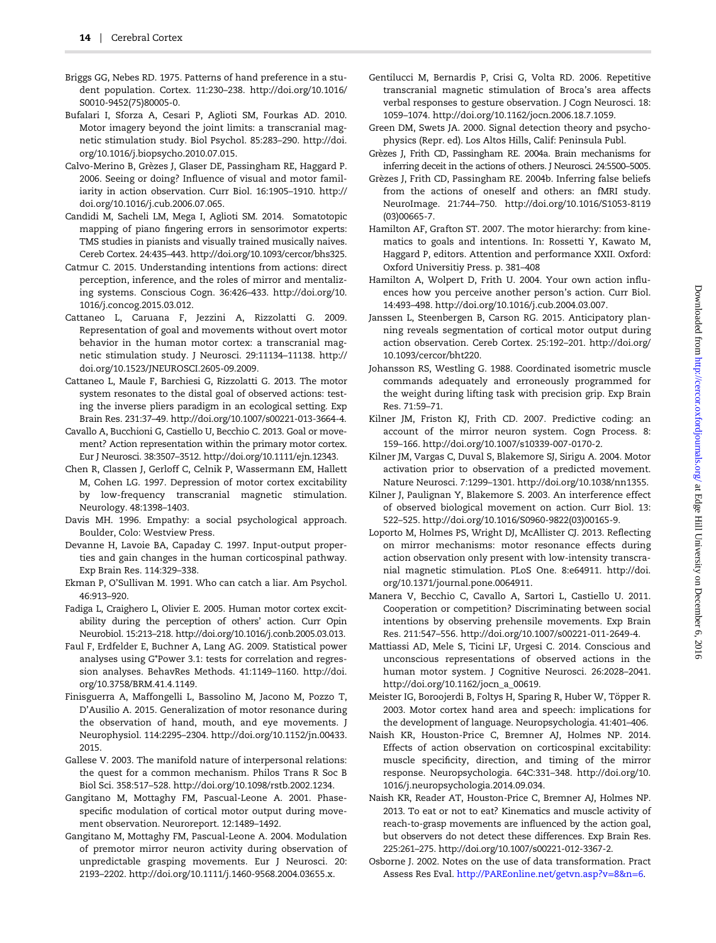- <span id="page-13-0"></span>Briggs GG, Nebes RD. 1975. Patterns of hand preference in a student population. Cortex. 11:230–238. [http://doi.org/10.1016/](http://dx.doi.org/http://doi.org/10.1016/S0010-9452(75)80005-0) [S0010-9452\(75\)80005-0](http://dx.doi.org/http://doi.org/10.1016/S0010-9452(75)80005-0).
- Bufalari I, Sforza A, Cesari P, Aglioti SM, Fourkas AD. 2010. Motor imagery beyond the joint limits: a transcranial magnetic stimulation study. Biol Psychol. 85:283–290. [http://doi.](http://dx.doi.org/http://doi.org/10.1016/j.biopsycho.2010.07.015) [org/10.1016/j.biopsycho.2010.07.015.](http://dx.doi.org/http://doi.org/10.1016/j.biopsycho.2010.07.015)
- Calvo-Merino B, Grèzes J, Glaser DE, Passingham RE, Haggard P. 2006. Seeing or doing? Influence of visual and motor familiarity in action observation. Curr Biol. 16:1905–1910. [http://](http://dx.doi.org/http://doi.org/10.1016/j.cub.2006.07.065) [doi.org/10.1016/j.cub.2006.07.065](http://dx.doi.org/http://doi.org/10.1016/j.cub.2006.07.065).
- Candidi M, Sacheli LM, Mega I, Aglioti SM. 2014. Somatotopic mapping of piano fingering errors in sensorimotor experts: TMS studies in pianists and visually trained musically naives. Cereb Cortex. 24:435–443. [http://doi.org/10.1093/cercor/bhs325.](http://dx.doi.org/http://doi.org/10.1093/cercor/bhs325)
- Catmur C. 2015. Understanding intentions from actions: direct perception, inference, and the roles of mirror and mentalizing systems. Conscious Cogn. 36:426–433. [http://doi.org/10.](http://dx.doi.org/http://doi.org/10.1016/j.concog.2015.03.012) [1016/j.concog.2015.03.012.](http://dx.doi.org/http://doi.org/10.1016/j.concog.2015.03.012)
- Cattaneo L, Caruana F, Jezzini A, Rizzolatti G. 2009. Representation of goal and movements without overt motor behavior in the human motor cortex: a transcranial magnetic stimulation study. J Neurosci. 29:11134–11138. [http://](http://dx.doi.org/http://doi.org/10.1523/JNEUROSCI.2605-09.2009) [doi.org/10.1523/JNEUROSCI.2605-09.2009.](http://dx.doi.org/http://doi.org/10.1523/JNEUROSCI.2605-09.2009)
- Cattaneo L, Maule F, Barchiesi G, Rizzolatti G. 2013. The motor system resonates to the distal goal of observed actions: testing the inverse pliers paradigm in an ecological setting. Exp Brain Res. 231:37–49. [http://doi.org/10.1007/s00221-013-3664-4.](http://dx.doi.org/http://doi.org/10.1007/s00221-013-3664-4)
- Cavallo A, Bucchioni G, Castiello U, Becchio C. 2013. Goal or movement? Action representation within the primary motor cortex. Eur J Neurosci. 38:3507–3512. [http://doi.org/10.1111/ejn.12343.](http://dx.doi.org/http://doi.org/10.1111/ejn.12343)
- Chen R, Classen J, Gerloff C, Celnik P, Wassermann EM, Hallett M, Cohen LG. 1997. Depression of motor cortex excitability by low-frequency transcranial magnetic stimulation. Neurology. 48:1398–1403.
- Davis MH. 1996. Empathy: a social psychological approach. Boulder, Colo: Westview Press.
- Devanne H, Lavoie BA, Capaday C. 1997. Input-output properties and gain changes in the human corticospinal pathway. Exp Brain Res. 114:329–338.
- Ekman P, O'Sullivan M. 1991. Who can catch a liar. Am Psychol. 46:913–920.
- Fadiga L, Craighero L, Olivier E. 2005. Human motor cortex excitability during the perception of others' action. Curr Opin Neurobiol. 15:213–218. [http://doi.org/10.1016/j.conb.2005.03.013.](http://dx.doi.org/http://doi.org/10.1016/j.conb.2005.03.013)
- Faul F, Erdfelder E, Buchner A, Lang AG. 2009. Statistical power analyses using G\*Power 3.1: tests for correlation and regression analyses. BehavRes Methods. 41:1149–1160. [http://doi.](http://dx.doi.org/http://doi.org/10.3758/BRM.41.4.1149) [org/10.3758/BRM.41.4.1149.](http://dx.doi.org/http://doi.org/10.3758/BRM.41.4.1149)
- Finisguerra A, Maffongelli L, Bassolino M, Jacono M, Pozzo T, D'Ausilio A. 2015. Generalization of motor resonance during the observation of hand, mouth, and eye movements. J Neurophysiol. 114:2295–2304. [http://doi.org/10.1152/jn.00433.](http://dx.doi.org/http://doi.org/10.1152/jn.00433.2015) [2015.](http://dx.doi.org/http://doi.org/10.1152/jn.00433.2015)
- Gallese V. 2003. The manifold nature of interpersonal relations: the quest for a common mechanism. Philos Trans R Soc B Biol Sci. 358:517–528. [http://doi.org/10.1098/rstb.2002.1234.](http://dx.doi.org/http://doi.org/10.1098/rstb.2002.1234)
- Gangitano M, Mottaghy FM, Pascual-Leone A. 2001. Phasespecific modulation of cortical motor output during movement observation. Neuroreport. 12:1489–1492.
- Gangitano M, Mottaghy FM, Pascual-Leone A. 2004. Modulation of premotor mirror neuron activity during observation of unpredictable grasping movements. Eur J Neurosci. 20: 2193–2202. [http://doi.org/10.1111/j.1460-9568.2004.03655.x](http://dx.doi.org/http://doi.org/10.1111/j.1460-9568.2004.03655.x).
- Gentilucci M, Bernardis P, Crisi G, Volta RD. 2006. Repetitive transcranial magnetic stimulation of Broca's area affects verbal responses to gesture observation. J Cogn Neurosci. 18: 1059–1074. [http://doi.org/10.1162/jocn.2006.18.7.1059](http://dx.doi.org/http://doi.org/10.1162/jocn.2006.18.7.1059).
- Green DM, Swets JA. 2000. Signal detection theory and psychophysics (Repr. ed). Los Altos Hills, Calif: Peninsula Publ.
- Grèzes J, Frith CD, Passingham RE. 2004a. Brain mechanisms for inferring deceit in the actions of others. J Neurosci. 24:5500–5005.
- Grèzes J, Frith CD, Passingham RE. 2004b. Inferring false beliefs from the actions of oneself and others: an fMRI study. NeuroImage. 21:744–750. [http://doi.org/10.1016/S1053-8119](http://dx.doi.org/http://doi.org/10.1016/S1053-8119(03)00665-7) [\(03\)00665-7.](http://dx.doi.org/http://doi.org/10.1016/S1053-8119(03)00665-7)
- Hamilton AF, Grafton ST. 2007. The motor hierarchy: from kinematics to goals and intentions. In: Rossetti Y, Kawato M, Haggard P, editors. Attention and performance XXII. Oxford: Oxford Universitiy Press. p. 381–408
- Hamilton A, Wolpert D, Frith U. 2004. Your own action influences how you perceive another person's action. Curr Biol. 14:493–498. [http://doi.org/10.1016/j.cub.2004.03.007.](http://dx.doi.org/http://doi.org/10.1016/j.cub.2004.03.007)
- Janssen L, Steenbergen B, Carson RG. 2015. Anticipatory planning reveals segmentation of cortical motor output during action observation. Cereb Cortex. 25:192–201. [http://doi.org/](http://dx.doi.org/http://doi.org/10.1093/cercor/bht220) [10.1093/cercor/bht220.](http://dx.doi.org/http://doi.org/10.1093/cercor/bht220)
- Johansson RS, Westling G. 1988. Coordinated isometric muscle commands adequately and erroneously programmed for the weight during lifting task with precision grip. Exp Brain Res. 71:59–71.
- Kilner JM, Friston KJ, Frith CD. 2007. Predictive coding: an account of the mirror neuron system. Cogn Process. 8: 159–166. [http://doi.org/10.1007/s10339-007-0170-2](http://dx.doi.org/http://doi.org/10.1007/s10339-007-0170-2).
- Kilner JM, Vargas C, Duval S, Blakemore SJ, Sirigu A. 2004. Motor activation prior to observation of a predicted movement. Nature Neurosci. 7:1299–1301. [http://doi.org/10.1038/nn1355](http://dx.doi.org/http://doi.org/10.1038/nn1355).
- Kilner J, Paulignan Y, Blakemore S. 2003. An interference effect of observed biological movement on action. Curr Biol. 13: 522–525. [http://doi.org/10.1016/S0960-9822\(03\)00165-9.](http://dx.doi.org/http://doi.org/10.1016/S0960-9822(03)00165-9)
- Loporto M, Holmes PS, Wright DJ, McAllister CJ. 2013. Reflecting on mirror mechanisms: motor resonance effects during action observation only present with low-intensity transcranial magnetic stimulation. PLoS One. 8:e64911. [http://doi.](http://dx.doi.org/http://doi.org/10.1371/journal.pone.0064911) [org/10.1371/journal.pone.0064911.](http://dx.doi.org/http://doi.org/10.1371/journal.pone.0064911)
- Manera V, Becchio C, Cavallo A, Sartori L, Castiello U. 2011. Cooperation or competition? Discriminating between social intentions by observing prehensile movements. Exp Brain Res. 211:547–556. [http://doi.org/10.1007/s00221-011-2649-4.](http://dx.doi.org/http://doi.org/10.1007/s00221-011-2649-4)
- Mattiassi AD, Mele S, Ticini LF, Urgesi C. 2014. Conscious and unconscious representations of observed actions in the human motor system. J Cognitive Neurosci. 26:2028–2041. [http://doi.org/10.1162/jocn\\_a\\_00619.](http://dx.doi.org/http://doi.org/10.1162/jocn_a_00619)
- Meister IG, Boroojerdi B, Foltys H, Sparing R, Huber W, Töpper R. 2003. Motor cortex hand area and speech: implications for the development of language. Neuropsychologia. 41:401–406.
- Naish KR, Houston-Price C, Bremner AJ, Holmes NP. 2014. Effects of action observation on corticospinal excitability: muscle specificity, direction, and timing of the mirror response. Neuropsychologia. 64C:331–348. [http://doi.org/10.](http://dx.doi.org/http://doi.org/10.1016/j.neuropsychologia.2014.09.034) [1016/j.neuropsychologia.2014.09.034](http://dx.doi.org/http://doi.org/10.1016/j.neuropsychologia.2014.09.034).
- Naish KR, Reader AT, Houston-Price C, Bremner AJ, Holmes NP. 2013. To eat or not to eat? Kinematics and muscle activity of reach-to-grasp movements are influenced by the action goal, but observers do not detect these differences. Exp Brain Res. 225:261–275. [http://doi.org/10.1007/s00221-012-3367-2.](http://dx.doi.org/http://doi.org/10.1007/s00221-012-3367-2)
- Osborne J. 2002. Notes on the use of data transformation. Pract Assess Res Eval. [http://PAREonline.net/getvn.asp?v](http://www.R-project.org)=8&n=6.